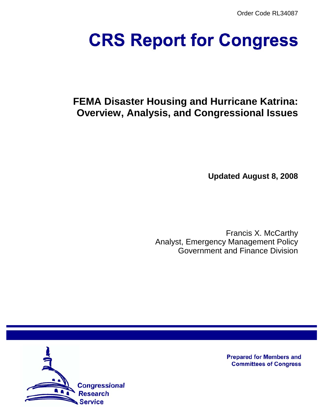Order Code RL34087

# **CRS Report for Congress**

# **FEMA Disaster Housing and Hurricane Katrina: Overview, Analysis, and Congressional Issues**

**Updated August 8, 2008**

Francis X. McCarthy Analyst, Emergency Management Policy Government and Finance Division



**Prepared for Members and Committees of Congress**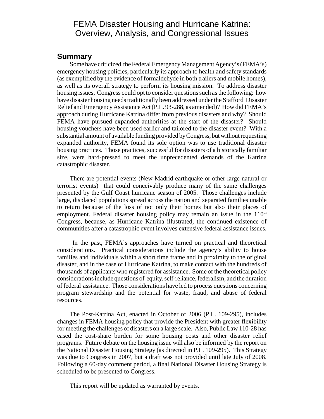## FEMA Disaster Housing and Hurricane Katrina: Overview, Analysis, and Congressional Issues

#### **Summary**

Some have criticized the Federal Emergency Management Agency's (FEMA's) emergency housing policies, particularly its approach to health and safety standards (as exemplified by the evidence of formaldehyde in both trailers and mobile homes), as well as its overall strategy to perform its housing mission. To address disaster housing issues, Congress could opt to consider questions such as the following: how have disaster housing needs traditionally been addressed under the Stafford Disaster Relief and Emergency Assistance Act (P.L. 93-288, as amended)? How did FEMA's approach during Hurricane Katrina differ from previous disasters and why? Should FEMA have pursued expanded authorities at the start of the disaster? Should housing vouchers have been used earlier and tailored to the disaster event? With a substantial amount of available funding provided by Congress, but without requesting expanded authority, FEMA found its sole option was to use traditional disaster housing practices. Those practices, successful for disasters of a historically familiar size, were hard-pressed to meet the unprecedented demands of the Katrina catastrophic disaster.

There are potential events (New Madrid earthquake or other large natural or terrorist events) that could conceivably produce many of the same challenges presented by the Gulf Coast hurricane season of 2005. Those challenges include large, displaced populations spread across the nation and separated families unable to return because of the loss of not only their homes but also their places of employment. Federal disaster housing policy may remain an issue in the  $110<sup>th</sup>$ Congress, because, as Hurricane Katrina illustrated, the continued existence of communities after a catastrophic event involves extensive federal assistance issues.

 In the past, FEMA's approaches have turned on practical and theoretical considerations. Practical considerations include the agency's ability to house families and individuals within a short time frame and in proximity to the original disaster, and in the case of Hurricane Katrina, to make contact with the hundreds of thousands of applicants who registered for assistance. Some of the theoretical policy considerations include questions of equity, self-reliance, federalism, and the duration of federal assistance. Those considerations have led to process questions concerning program stewardship and the potential for waste, fraud, and abuse of federal resources.

The Post-Katrina Act, enacted in October of 2006 (P.L. 109-295), includes changes in FEMA housing policy that provide the President with greater flexibility for meeting the challenges of disasters on a large scale. Also, Public Law 110-28 has eased the cost-share burden for some housing costs and other disaster relief programs. Future debate on the housing issue will also be informed by the report on the National Disaster Housing Strategy (as directed in P.L. 109-295). This Strategy was due to Congress in 2007, but a draft was not provided until late July of 2008. Following a 60-day comment period, a final National Disaster Housing Strategy is scheduled to be presented to Congress.

This report will be updated as warranted by events.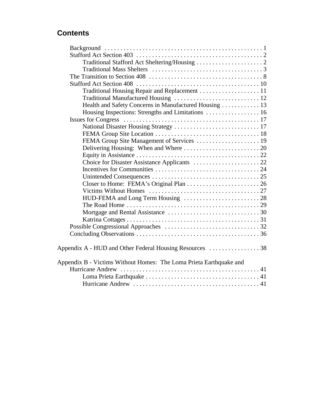# **Contents**

| Traditional Housing Repair and Replacement  11<br>Health and Safety Concerns in Manufactured Housing  13<br>FEMA Group Site Management of Services  19<br>Appendix A - HUD and Other Federal Housing Resources 38<br>Appendix B - Victims Without Homes: The Loma Prieta Earthquake and |  |
|-----------------------------------------------------------------------------------------------------------------------------------------------------------------------------------------------------------------------------------------------------------------------------------------|--|
|                                                                                                                                                                                                                                                                                         |  |
|                                                                                                                                                                                                                                                                                         |  |
|                                                                                                                                                                                                                                                                                         |  |
|                                                                                                                                                                                                                                                                                         |  |
|                                                                                                                                                                                                                                                                                         |  |
|                                                                                                                                                                                                                                                                                         |  |
|                                                                                                                                                                                                                                                                                         |  |
|                                                                                                                                                                                                                                                                                         |  |
|                                                                                                                                                                                                                                                                                         |  |
|                                                                                                                                                                                                                                                                                         |  |
|                                                                                                                                                                                                                                                                                         |  |
|                                                                                                                                                                                                                                                                                         |  |
|                                                                                                                                                                                                                                                                                         |  |
|                                                                                                                                                                                                                                                                                         |  |
|                                                                                                                                                                                                                                                                                         |  |
|                                                                                                                                                                                                                                                                                         |  |
|                                                                                                                                                                                                                                                                                         |  |
|                                                                                                                                                                                                                                                                                         |  |
|                                                                                                                                                                                                                                                                                         |  |
|                                                                                                                                                                                                                                                                                         |  |
|                                                                                                                                                                                                                                                                                         |  |
|                                                                                                                                                                                                                                                                                         |  |
|                                                                                                                                                                                                                                                                                         |  |
|                                                                                                                                                                                                                                                                                         |  |
|                                                                                                                                                                                                                                                                                         |  |
|                                                                                                                                                                                                                                                                                         |  |
|                                                                                                                                                                                                                                                                                         |  |
|                                                                                                                                                                                                                                                                                         |  |
|                                                                                                                                                                                                                                                                                         |  |
|                                                                                                                                                                                                                                                                                         |  |
|                                                                                                                                                                                                                                                                                         |  |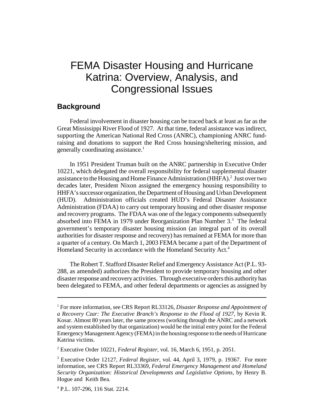# FEMA Disaster Housing and Hurricane Katrina: Overview, Analysis, and Congressional Issues

#### **Background**

Federal involvement in disaster housing can be traced back at least as far as the Great Mississippi River Flood of 1927. At that time, federal assistance was indirect, supporting the American National Red Cross (ANRC), championing ANRC fundraising and donations to support the Red Cross housing/sheltering mission, and generally coordinating assistance.<sup>1</sup>

In 1951 President Truman built on the ANRC partnership in Executive Order 10221, which delegated the overall responsibility for federal supplemental disaster assistance to the Housing and Home Finance Administration (HHFA).<sup>2</sup> Just over two decades later, President Nixon assigned the emergency housing responsibility to HHFA's successor organization, the Department of Housing and Urban Development (HUD). Administration officials created HUD's Federal Disaster Assistance Administration (FDAA) to carry out temporary housing and other disaster response and recovery programs. The FDAA was one of the legacy components subsequently absorbed into FEMA in 1979 under Reorganization Plan Number 3.<sup>3</sup> The federal government's temporary disaster housing mission (an integral part of its overall authorities for disaster response and recovery) has remained at FEMA for more than a quarter of a century. On March 1, 2003 FEMA became a part of the Department of Homeland Security in accordance with the Homeland Security Act.<sup>4</sup>

The Robert T. Stafford Disaster Relief and Emergency Assistance Act (P.L. 93- 288, as amended) authorizes the President to provide temporary housing and other disaster response and recovery activities. Through executive orders this authority has been delegated to FEMA, and other federal departments or agencies as assigned by

<sup>&</sup>lt;sup>1</sup> For more information, see CRS Report RL33126, *Disaster Response and Appointment of a Recovery Czar: The Executive Branch's Response to the Flood of 1927,* by Kevin R. Kosar. Almost 80 years later, the same process (working through the ANRC and a network and system established by that organization) would be the initial entry point for the Federal Emergency Management Agency (FEMA) in the housing response to the needs of Hurricane Katrina victims.

<sup>2</sup> Executive Order 10221, *Federal Register*, vol. 16, March 6, 1951, p. 2051.

<sup>3</sup> Executive Order 12127, *Federal Register*, vol. 44, April 3, 1979, p. 19367. For more information, see CRS Report RL33369, *Federal Emergency Management and Homeland Security Organization: Historical Developments and Legislative Options,* by Henry B. Hogue and Keith Bea.

<sup>4</sup> P.L. 107-296, 116 Stat. 2214.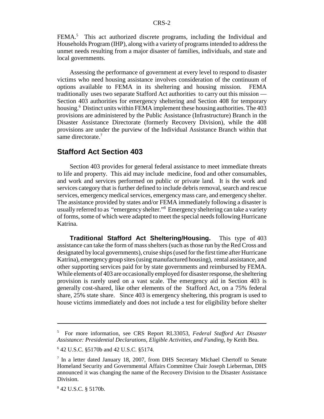FEMA.<sup>5</sup> This act authorized discrete programs, including the Individual and Households Program (IHP), along with a variety of programs intended to address the unmet needs resulting from a major disaster of families, individuals, and state and local governments.

Assessing the performance of government at every level to respond to disaster victims who need housing assistance involves consideration of the continuum of options available to FEMA in its sheltering and housing mission. FEMA traditionally uses two separate Stafford Act authorities to carry out this mission — Section 403 authorities for emergency sheltering and Section 408 for temporary housing.<sup>6</sup> Distinct units within FEMA implement these housing authorities. The 403 provisions are administered by the Public Assistance (Infrastructure) Branch in the Disaster Assistance Directorate (formerly Recovery Division), while the 408 provisions are under the purview of the Individual Assistance Branch within that same directorate.<sup>7</sup>

#### **Stafford Act Section 403**

Section 403 provides for general federal assistance to meet immediate threats to life and property. This aid may include medicine, food and other consumables, and work and services performed on public or private land. It is the work and services category that is further defined to include debris removal, search and rescue services, emergency medical services, emergency mass care, and emergency shelter. The assistance provided by states and/or FEMA immediately following a disaster is usually referred to as "emergency shelter."8 Emergency sheltering can take a variety of forms, some of which were adapted to meet the special needs following Hurricane Katrina.

**Traditional Stafford Act Sheltering/Housing.** This type of 403 assistance can take the form of mass shelters (such as those run by the Red Cross and designated by local governments), cruise ships (used for the first time after Hurricane Katrina), emergency group sites (using manufactured housing), rental assistance, and other supporting services paid for by state governments and reimbursed by FEMA. While elements of 403 are occasionally employed for disaster response, the sheltering provision is rarely used on a vast scale. The emergency aid in Section 403 is generally cost-shared, like other elements of the Stafford Act, on a 75% federal share, 25% state share. Since 403 is emergency sheltering, this program is used to house victims immediately and does not include a test for eligibility before shelter

<sup>5</sup> For more information, see CRS Report RL33053, *Federal Stafford Act Disaster Assistance: Presidential Declarations, Eligible Activities, and Funding, by* Keith Bea.

<sup>6</sup> 42 U.S.C. §5170b and 42 U.S.C. §5174.

<sup>&</sup>lt;sup>7</sup> In a letter dated January 18, 2007, from DHS Secretary Michael Chertoff to Senate Homeland Security and Governmental Affairs Committee Chair Joseph Lieberman, DHS announced it was changing the name of the Recovery Division to the Disaster Assistance Division.

<sup>8</sup> 42 U.S.C. § 5170b.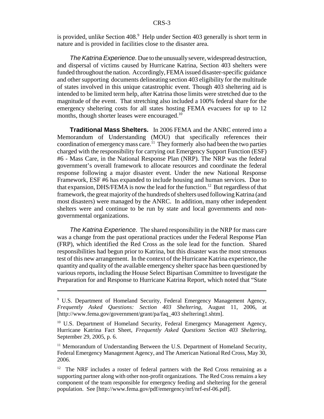is provided, unlike Section 408.<sup>9</sup> Help under Section 403 generally is short term in nature and is provided in facilities close to the disaster area.

*The Katrina Experience.* Due to the unusually severe, widespread destruction, and dispersal of victims caused by Hurricane Katrina, Section 403 shelters were funded throughout the nation. Accordingly, FEMA issued disaster-specific guidance and other supporting documents delineating section 403 eligibility for the multitude of states involved in this unique catastrophic event. Though 403 sheltering aid is intended to be limited term help, after Katrina those limits were stretched due to the magnitude of the event. That stretching also included a 100% federal share for the emergency sheltering costs for all states hosting FEMA evacuees for up to 12 months, though shorter leases were encouraged.<sup>10</sup>

**Traditional Mass Shelters.** In 2006 FEMA and the ANRC entered into a Memorandum of Understanding (MOU) that specifically references their coordination of emergency mass care.<sup>11</sup> They formerly also had been the two parties charged with the responsibility for carrying out Emergency Support Function (ESF) #6 - Mass Care, in the National Response Plan (NRP). The NRP was the federal government's overall framework to allocate resources and coordinate the federal response following a major disaster event. Under the new National Response Framework, ESF #6 has expanded to include housing and human services. Due to that expansion, DHS/FEMA is now the lead for the function.<sup>12</sup> But regardless of that framework, the great majority of the hundreds of shelters used following Katrina (and most disasters) were managed by the ANRC. In addition, many other independent shelters were and continue to be run by state and local governments and nongovernmental organizations.

*The Katrina Experience.* The shared responsibility in the NRP for mass care was a change from the past operational practices under the Federal Response Plan (FRP), which identified the Red Cross as the sole lead for the function. Shared responsibilities had begun prior to Katrina, but this disaster was the most strenuous test of this new arrangement. In the context of the Hurricane Katrina experience, the quantity and quality of the available emergency shelter space has been questioned by various reports, including the House Select Bipartisan Committee to Investigate the Preparation for and Response to Hurricane Katrina Report, which noted that "State

<sup>&</sup>lt;sup>9</sup> U.S. Department of Homeland Security, Federal Emergency Management Agency, *Frequently Asked Questions: Section 403 Sheltering,* August 11, 2006, at [http://www.fema.gov/government/grant/pa/faq\_403 sheltering1.shtm].

<sup>&</sup>lt;sup>10</sup> U.S. Department of Homeland Security, Federal Emergency Management Agency, Hurricane Katrina Fact Sheet, *Frequently Asked Questions Section 403 Sheltering,* September 29, 2005, p. 6.

 $11$  Memorandum of Understanding Between the U.S. Department of Homeland Security, Federal Emergency Management Agency, and The American National Red Cross, May 30, 2006.

 $12$  The NRF includes a roster of federal partners with the Red Cross remaining as a supporting partner along with other non-profit organizations. The Red Cross remains a key component of the team responsible for emergency feeding and sheltering for the general population. See [http://www.fema.gov/pdf/emergency/nrf/nrf-esf-06.pdf].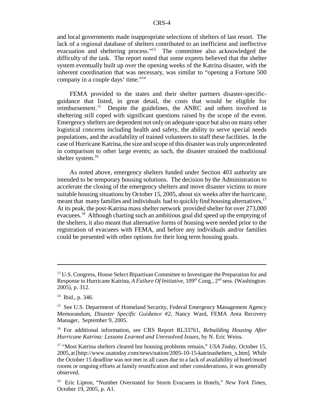and local governments made inappropriate selections of shelters of last resort. The lack of a regional database of shelters contributed to an inefficient and ineffective evacuation and sheltering process."13 The committee also acknowledged the difficulty of the task. The report noted that some experts believed that the shelter system eventually built up over the opening weeks of the Katrina disaster, with the inherent coordination that was necessary, was similar to "opening a Fortune 500 company in a couple days' time."14

FEMA provided to the states and their shelter partners disaster-specificguidance that listed, in great detail, the costs that would be eligible for reimbursement.15 Despite the guidelines, the ANRC and others involved in sheltering still coped with significant questions raised by the scope of the event. Emergency shelters are dependent not only on adequate space but also on many other logistical concerns including health and safety, the ability to serve special needs populations, and the availability of trained volunteers to staff these facilities. In the case of Hurricane Katrina, the size and scope of this disaster was truly unprecedented in comparison to other large events; as such, the disaster strained the traditional shelter system.<sup>16</sup>

As noted above, emergency shelters funded under Section 403 authority are intended to be temporary housing solutions. The decision by the Administration to accelerate the closing of the emergency shelters and move disaster victims to more suitable housing situations by October 15, 2005, about six weeks after the hurricane, meant that many families and individuals had to quickly find housing alternatives.<sup>17</sup> At its peak, the post-Katrina mass shelter network provided shelter for over 273,000 evacuees.18 Although charting such an ambitious goal did speed up the emptying of the shelters, it also meant that alternative forms of housing were needed prior to the registration of evacuees with FEMA, and before any individuals and/or families could be presented with other options for their long term housing goals.

<sup>&</sup>lt;sup>13</sup> U.S. Congress, House Select Bipartisan Committee to Investigate the Preparation for and Response to Hurricane Katrina, *A Failure Of Initiative*, 109<sup>th</sup> Cong., 2<sup>nd</sup> sess. (Washington: 2005), p. 312.

 $14$  Ibid., p. 346.

<sup>&</sup>lt;sup>15</sup> See U.S. Department of Homeland Security, Federal Emergency Management Agency Memorandum, *Disaster Specific Guidance #2*, Nancy Ward, FEMA Area Recovery Manager, September 9, 2005.

<sup>16</sup> For additional information, see CRS Report RL33761, *Rebuilding Housing After Hurricane Katrina: Lessons Learned and Unresolved Issues,* by N. Eric Weiss.

<sup>17 &</sup>quot;Most Katrina shelters cleared but housing problems remain," *USA Today,* October 15, 2005, at [http://www.usatoday.com/news/nation/2005-10-15-katrinashelters\_x.htm]. While the October 15 deadline was not met in all cases due to a lack of availability of hotel/motel rooms or ongoing efforts at family reunification and other considerations, it was generally observed.

<sup>18</sup> Eric Lipton, "Number Overstated for Storm Evacuees in Hotels," *New York Times*, October 19, 2005, p. A1.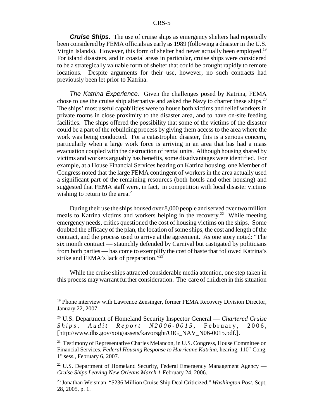*Cruise Ships.* The use of cruise ships as emergency shelters had reportedly been considered by FEMA officials as early as 1989 (following a disaster in the U.S. Virgin Islands). However, this form of shelter had never actually been employed.<sup>19</sup> For island disasters, and in coastal areas in particular, cruise ships were considered to be a strategically valuable form of shelter that could be brought rapidly to remote locations. Despite arguments for their use, however, no such contracts had previously been let prior to Katrina.

*The Katrina Experience.* Given the challenges posed by Katrina, FEMA chose to use the cruise ship alternative and asked the Navy to charter these ships.<sup>20</sup> The ships' most useful capabilities were to house both victims and relief workers in private rooms in close proximity to the disaster area, and to have on-site feeding facilities. The ships offered the possibility that some of the victims of the disaster could be a part of the rebuilding process by giving them access to the area where the work was being conducted. For a catastrophic disaster, this is a serious concern, particularly when a large work force is arriving in an area that has had a mass evacuation coupled with the destruction of rental units. Although housing shared by victims and workers arguably has benefits, some disadvantages were identified. For example, at a House Financial Services hearing on Katrina housing, one Member of Congress noted that the large FEMA contingent of workers in the area actually used a significant part of the remaining resources (both hotels and other housing) and suggested that FEMA staff were, in fact, in competition with local disaster victims wishing to return to the area. $^{21}$ 

During their use the ships housed over 8,000 people and served over two million meals to Katrina victims and workers helping in the recovery.<sup>22</sup> While meeting emergency needs, critics questioned the cost of housing victims on the ships. Some doubted the efficacy of the plan, the location of some ships, the cost and length of the contract, and the process used to arrive at the agreement. As one story noted: "The six month contract — staunchly defended by Carnival but castigated by politicians from both parties — has come to exemplify the cost of haste that followed Katrina's strike and FEMA's lack of preparation."<sup>23</sup>

While the cruise ships attracted considerable media attention, one step taken in this process may warrant further consideration. The care of children in this situation

 $19$  Phone interview with Lawrence Zensinger, former FEMA Recovery Division Director, January 22, 2007.

<sup>20</sup> U.S. Department of Homeland Security Inspector General — *Chartered Cruise Ships, Audit Report N2006-0015,* February, 2006, [http://www.dhs.gov/xoig/assets/kavorsght/OIG\_NAV\_N06-0015.pdf.].

<sup>&</sup>lt;sup>21</sup> Testimony of Representative Charles Melancon, in U.S. Congress, House Committee on Financial Services, *Federal Housing Response to Hurricane Katrina*, hearing, 110<sup>th</sup> Cong.  $1<sup>st</sup>$  sess., February 6, 2007.

<sup>&</sup>lt;sup>22</sup> U.S. Department of Homeland Security, Federal Emergency Management Agency — *Cruise Ships Leaving New Orleans March 1-*February 24, 2006.

<sup>23</sup> Jonathan Weisman, "\$236 Million Cruise Ship Deal Criticized," *Washington Post*, Sept, 28, 2005, p. 1.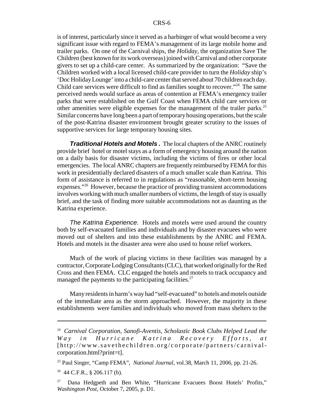is of interest, particularly since it served as a harbinger of what would become a very significant issue with regard to FEMA's management of its large mobile home and trailer parks. On one of the Carnival ships, the *Holiday*, the organization Save The Children (best known for its work overseas) joined with Carnival and other corporate givers to set up a child-care center. As summarized by the organization: "Save the Children worked with a local licensed child-care provider to turn the *Holiday* ship's 'Doc Holiday Lounge' into a child-care center that served about 70 children each day. Child care services were difficult to find as families sought to recover."<sup>24</sup> The same perceived needs would surface as areas of contention at FEMA's emergency trailer parks that were established on the Gulf Coast when FEMA child care services or other amenities were eligible expenses for the management of the trailer parks.<sup>25</sup> Similar concerns have long been a part of temporary housing operations, but the scale of the post-Katrina disaster environment brought greater scrutiny to the issues of supportive services for large temporary housing sites.

*Traditional Hotels and Motels .* The local chapters of the ANRC routinely provide brief hotel or motel stays as a form of emergency housing around the nation on a daily basis for disaster victims, including the victims of fires or other local emergencies. The local ANRC chapters are frequently reimbursed by FEMA for this work in presidentially declared disasters of a much smaller scale than Katrina. This form of assistance is referred to in regulations as "reasonable, short-term housing expenses."26 However, because the practice of providing transient accommodations involves working with much smaller numbers of victims, the length of stay is usually brief, and the task of finding more suitable accommodations not as daunting as the Katrina experience.

*The Katrina Experience.* Hotels and motels were used around the country both by self-evacuated families and individuals and by disaster evacuees who were moved out of shelters and into these establishments by the ANRC and FEMA. Hotels and motels in the disaster area were also used to house relief workers.

Much of the work of placing victims in these facilities was managed by a contractor, Corporate Lodging Consultants (CLC), that worked originally for the Red Cross and then FEMA. CLC engaged the hotels and motels to track occupancy and managed the payments to the participating facilities.<sup>27</sup>

Many residents in harm's way had "self-evacuated" to hotels and motels outside of the immediate area as the storm approached. However, the majority in these establishments were families and individuals who moved from mass shelters to the

<sup>24</sup> *Carnival Corporation, Sanofi-Aventis, Scholastic Book Clubs Helped Lead the Way in Hurricane Katrina Recovery Efforts, at* [http://www.savethechildren.org/corporate/partners/carnivalcorporation.html?print=t].

<sup>25</sup> Paul Singer, "Camp FEMA", *National Journal*, vol.38, March 11, 2006, pp. 21-26.

 $26$  44 C.F.R., § 206.117 (b).

<sup>&</sup>lt;sup>27</sup> Dana Hedgpeth and Ben White, "Hurricane Evacuees Boost Hotels' Profits," *Washington Post*, October 7, 2005, p. D1.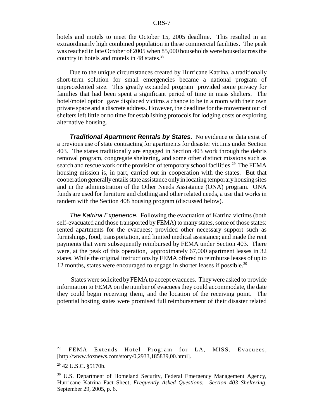hotels and motels to meet the October 15, 2005 deadline. This resulted in an extraordinarily high combined population in these commercial facilities. The peak was reached in late October of 2005 when 85,000 households were housed across the country in hotels and motels in 48 states.<sup>28</sup>

Due to the unique circumstances created by Hurricane Katrina, a traditionally short-term solution for small emergencies became a national program of unprecedented size. This greatly expanded program provided some privacy for families that had been spent a significant period of time in mass shelters. The hotel/motel option gave displaced victims a chance to be in a room with their own private space and a discrete address. However, the deadline for the movement out of shelters left little or no time for establishing protocols for lodging costs or exploring alternative housing.

*Traditional Apartment Rentals by States.* No evidence or data exist of a previous use of state contracting for apartments for disaster victims under Section 403. The states traditionally are engaged in Section 403 work through the debris removal program, congregate sheltering, and some other distinct missions such as search and rescue work or the provision of temporary school facilities.<sup>29</sup> The FEMA housing mission is, in part, carried out in cooperation with the states. But that cooperation generally entails state assistance only in locating temporary housing sites and in the administration of the Other Needs Assistance (ONA) program. ONA funds are used for furniture and clothing and other related needs, a use that works in tandem with the Section 408 housing program (discussed below).

*The Katrina Experience.* Following the evacuation of Katrina victims (both self-evacuated and those transported by FEMA) to many states, some of those states: rented apartments for the evacuees; provided other necessary support such as furnishings, food, transportation, and limited medical assistance; and made the rent payments that were subsequently reimbursed by FEMA under Section 403. There were, at the peak of this operation, approximately 67,000 apartment leases in 32 states. While the original instructions by FEMA offered to reimburse leases of up to 12 months, states were encouraged to engage in shorter leases if possible.<sup>30</sup>

 States were solicited by FEMA to accept evacuees. They were asked to provide information to FEMA on the number of evacuees they could accommodate, the date they could begin receiving them, and the location of the receiving point. The potential hosting states were promised full reimbursement of their disaster related

<sup>&</sup>lt;sup>28</sup> FEMA Extends Hotel Program for LA, MISS. Evacuees, [http://www.foxnews.com/story/0,2933,185839,00.html].

<sup>29 42</sup> U.S.C. §5170b.

<sup>&</sup>lt;sup>30</sup> U.S. Department of Homeland Security, Federal Emergency Management Agency, Hurricane Katrina Fact Sheet, *Frequently Asked Questions: Section 403 Sheltering*, September 29, 2005, p. 6.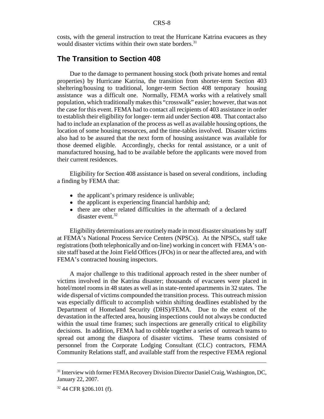costs, with the general instruction to treat the Hurricane Katrina evacuees as they would disaster victims within their own state borders.<sup>31</sup>

#### **The Transition to Section 408**

Due to the damage to permanent housing stock (both private homes and rental properties) by Hurricane Katrina, the transition from shorter-term Section 403 sheltering/housing to traditional, longer-term Section 408 temporary housing assistance was a difficult one. Normally, FEMA works with a relatively small population, which traditionally makes this "crosswalk" easier; however, that was not the case for this event. FEMA had to contact all recipients of 403 assistance in order to establish their eligibility for longer- term aid under Section 408. That contact also had to include an explanation of the process as well as available housing options, the location of some housing resources, and the time-tables involved. Disaster victims also had to be assured that the next form of housing assistance was available for those deemed eligible. Accordingly, checks for rental assistance, or a unit of manufactured housing, had to be available before the applicants were moved from their current residences.

Eligibility for Section 408 assistance is based on several conditions, including a finding by FEMA that:

- the applicant's primary residence is unlivable;
- the applicant is experiencing financial hardship and;
- there are other related difficulties in the aftermath of a declared disaster event.32

Eligibility determinations are routinely made in most disaster situations by staff at FEMA's National Process Service Centers (NPSCs). At the NPSCs, staff take registrations (both telephonically and on-line) working in concert with FEMA's onsite staff based at the Joint Field Offices (JFOs) in or near the affected area, and with FEMA's contracted housing inspectors.

A major challenge to this traditional approach rested in the sheer number of victims involved in the Katrina disaster; thousands of evacuees were placed in hotel/motel rooms in 48 states as well as in state-rented apartments in 32 states. The wide dispersal of victims compounded the transition process. This outreach mission was especially difficult to accomplish within shifting deadlines established by the Department of Homeland Security (DHS)/FEMA. Due to the extent of the devastation in the affected area, housing inspections could not always be conducted within the usual time frames; such inspections are generally critical to eligibility decisions. In addition, FEMA had to cobble together a series of outreach teams to spread out among the diaspora of disaster victims. These teams consisted of personnel from the Corporate Lodging Consultant (CLC) contractors, FEMA Community Relations staff, and available staff from the respective FEMA regional

<sup>&</sup>lt;sup>31</sup> Interview with former FEMA Recovery Division Director Daniel Craig, Washington, DC, January 22, 2007.

<sup>32 44</sup> CFR §206.101 (f).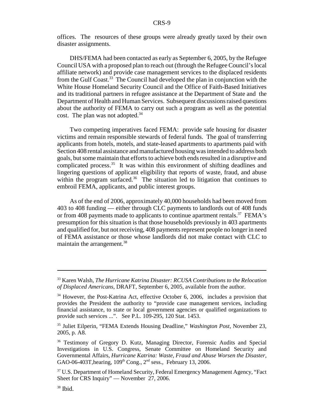offices. The resources of these groups were already greatly taxed by their own disaster assignments.

DHS/FEMA had been contacted as early as September 6, 2005, by the Refugee Council USA with a proposed plan to reach out (through the Refugee Council's local affiliate network) and provide case management services to the displaced residents from the Gulf Coast.33 The Council had developed the plan in conjunction with the White House Homeland Security Council and the Office of Faith-Based Initiatives and its traditional partners in refugee assistance at the Department of State and the Department of Health and Human Services. Subsequent discussions raised questions about the authority of FEMA to carry out such a program as well as the potential cost. The plan was not adopted. $34$ 

Two competing imperatives faced FEMA: provide safe housing for disaster victims and remain responsible stewards of federal funds. The goal of transferring applicants from hotels, motels, and state-leased apartments to apartments paid with Section 408 rental assistance and manufactured housing was intended to address both goals, but some maintain that efforts to achieve both ends resulted in a disruptive and complicated process.<sup>35</sup> It was within this environment of shifting deadlines and lingering questions of applicant eligibility that reports of waste, fraud, and abuse within the program surfaced.<sup>36</sup> The situation led to litigation that continues to embroil FEMA, applicants, and public interest groups.

As of the end of 2006, approximately 40,000 households had been moved from 403 to 408 funding — either through CLC payments to landlords out of 408 funds or from 408 payments made to applicants to continue apartment rentals.<sup>37</sup> FEMA's presumption for this situation is that those households previously in 403 apartments and qualified for, but not receiving, 408 payments represent people no longer in need of FEMA assistance or those whose landlords did not make contact with CLC to maintain the arrangement.<sup>38</sup>

<sup>33</sup> Karen Walsh, *The Hurricane Katrina Disaster: RCUSA Contributions to the Relocation of Displaced Americans,* DRAFT, September 6, 2005, available from the author.

<sup>&</sup>lt;sup>34</sup> However, the Post-Katrina Act, effective October 6, 2006, includes a provision that provides the President the authority to "provide case management services, including financial assistance, to state or local government agencies or qualified organizations to provide such services ...". See P.L. 109-295, 120 Stat. 1453.

<sup>35</sup> Juliet Eilperin, "FEMA Extends Housing Deadline," *Washington Post*, November 23, 2005, p. A8.

<sup>36</sup> Testimony of Gregory D. Kutz, Managing Director, Forensic Audits and Special Investigations in U.S. Congress, Senate Committee on Homeland Security and Governmental Affairs, *Hurricane Katrina: Waste, Fraud and Abuse Worsen the Disaster,* GAO-06-403T,hearing, 109th Cong., 2nd sess., February 13, 2006.

<sup>&</sup>lt;sup>37</sup> U.S. Department of Homeland Security, Federal Emergency Management Agency, "Fact Sheet for CRS Inquiry" — November 27, 2006.

 $38$  Ibid.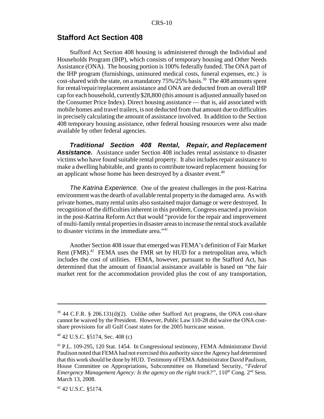#### **Stafford Act Section 408**

Stafford Act Section 408 housing is administered through the Individual and Households Program (IHP), which consists of temporary housing and Other Needs Assistance (ONA). The housing portion is 100% federally funded. The ONA part of the IHP program (furnishings, uninsured medical costs, funeral expenses, etc.) is cost-shared with the state, on a mandatory 75%/25% basis.<sup>39</sup> The 408 amounts spent for rental/repair/replacement assistance and ONA are deducted from an overall IHP cap for each household, currently \$28,800 (this amount is adjusted annually based on the Consumer Price Index). Direct housing assistance — that is, aid associated with mobile homes and travel trailers, is not deducted from that amount due to difficulties in precisely calculating the amount of assistance involved. In addition to the Section 408 temporary housing assistance, other federal housing resources were also made available by other federal agencies.

 *Traditional Section 408 Rental, Repair, and Replacement* **Assistance.** Assistance under Section 408 includes rental assistance to disaster victims who have found suitable rental property. It also includes repair assistance to make a dwelling habitable, and grants to contribute toward replacement housing for an applicant whose home has been destroyed by a disaster event.<sup>40</sup>

*The Katrina Experience.* One of the greatest challenges in the post-Katrina environment was the dearth of available rental property in the damaged area. As with private homes, many rental units also sustained major damage or were destroyed. In recognition of the difficulties inherent in this problem, Congress enacted a provision in the post-Katrina Reform Act that would "provide for the repair and improvement of multi-family rental properties in disaster areas to increase the rental stock available to disaster victims in the immediate area."<sup>41</sup>

Another Section 408 issue that emerged was FEMA's definition of Fair Market Rent  $(FMR)$ <sup>42</sup> FEMA uses the FMR set by HUD for a metropolitan area, which includes the cost of utilities. FEMA, however, pursuant to the Stafford Act, has determined that the amount of financial assistance available is based on "the fair market rent for the accommodation provided plus the cost of any transportation,

 $39$  44 C.F.R. § 206.131(d)(2). Unlike other Stafford Act programs, the ONA cost-share cannot be waived by the President. However, Public Law 110-28 did waive the ONA costshare provisions for all Gulf Coast states for the 2005 hurricane season.

<sup>40 42</sup> U.S.C. §5174, Sec. 408 (c)

<sup>41</sup> P.L. 109-295, 120 Stat. 1454. In Congressional testimony, FEMA Administrator David Paulison noted that FEMA had not exercised this authority since the Agency had determined that this work should be done by HUD. Testimony of FEMA Administrator David Paulison, House Committee on Appropriations, Subcommittee on Homeland Security, "*Federal Emergency Management Agency: Is the agency on the right track?",* 110<sup>th</sup> Cong. 2<sup>nd</sup> Sess. March 13, 2008.

<sup>42 42</sup> U.S.C. §5174.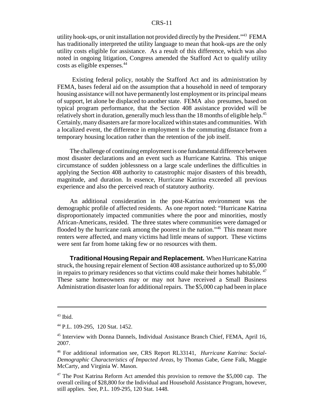utility hook-ups, or unit installation not provided directly by the President."43 FEMA has traditionally interpreted the utility language to mean that hook-ups are the only utility costs eligible for assistance. As a result of this difference, which was also noted in ongoing litigation, Congress amended the Stafford Act to qualify utility costs as eligible expenses.<sup>44</sup>

 Existing federal policy, notably the Stafford Act and its administration by FEMA, bases federal aid on the assumption that a household in need of temporary housing assistance will not have permanently lost employment or its principal means of support, let alone be displaced to another state. FEMA also presumes, based on typical program performance, that the Section 408 assistance provided will be relatively short in duration, generally much less than the 18 months of eligible help.<sup>45</sup> Certainly, many disasters are far more localized within states and communities. With a localized event, the difference in employment is the commuting distance from a temporary housing location rather than the retention of the job itself.

The challenge of continuing employment is one fundamental difference between most disaster declarations and an event such as Hurricane Katrina. This unique circumstance of sudden joblessness on a large scale underlines the difficulties in applying the Section 408 authority to catastrophic major disasters of this breadth, magnitude, and duration. In essence, Hurricane Katrina exceeded all previous experience and also the perceived reach of statutory authority.

An additional consideration in the post-Katrina environment was the demographic profile of affected residents. As one report noted: "Hurricane Katrina disproportionately impacted communities where the poor and minorities, mostly African-Americans, resided. The three states where communities were damaged or flooded by the hurricane rank among the poorest in the nation."<sup>46</sup> This meant more renters were affected, and many victims had little means of support. These victims were sent far from home taking few or no resources with them.

**Traditional Housing Repair and Replacement.** When Hurricane Katrina struck, the housing repair element of Section 408 assistance authorized up to \$5,000 in repairs to primary residences so that victims could make their homes habitable. <sup>47</sup> These same homeowners may or may not have received a Small Business Administration disaster loan for additional repairs. The \$5,000 cap had been in place

 $43$  Ibid.

<sup>44</sup> P.L. 109-295, 120 Stat. 1452.

<sup>45</sup> Interview with Donna Dannels, Individual Assistance Branch Chief, FEMA, April 16, 2007.

<sup>46</sup> For additional information see, CRS Report RL33141, *Hurricane Katrina: Social-Demographic Characteristics of Impacted Areas,* by Thomas Gabe, Gene Falk, Maggie McCarty, and Virginia W. Mason.

 $47$  The Post Katrina Reform Act amended this provision to remove the \$5,000 cap. The overall ceiling of \$28,800 for the Individual and Household Assistance Program, however, still applies. See, P.L. 109-295, 120 Stat. 1448.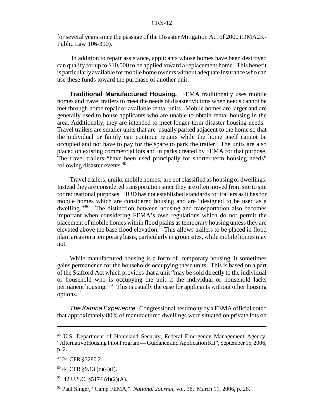for several years since the passage of the Disaster Mitigation Act of 2000 (DMA2K-Public Law 106-390).

 In addition to repair assistance, applicants whose homes have been destroyed can qualify for up to \$10,000 to be applied toward a replacement home. This benefit is particularly available for mobile home owners without adequate insurance who can use these funds toward the purchase of another unit.

**Traditional Manufactured Housing.** FEMA traditionally uses mobile homes and travel trailers to meet the needs of disaster victims when needs cannot be met through home repair or available rental units. Mobile homes are larger and are generally used to house applicants who are unable to obtain rental housing in the area. Additionally, they are intended to meet longer-term disaster housing needs. Travel trailers are smaller units that are usually parked adjacent to the home so that the individual or family can continue repairs while the home itself cannot be occupied and not have to pay for the space to park the trailer. The units are also placed on existing commercial lots and in parks created by FEMA for that purpose. The travel trailers "have been used principally for shorter-term housing needs" following disaster events.48

Travel trailers, unlike mobile homes, are not classified as housing or dwellings. Instead they are considered transportation since they are often moved from site to site for recreational purposes. HUD has not established standards for trailers as it has for mobile homes which are considered housing and are "designed to be used as a dwelling."49 The distinction between housing and transportation also becomes important when considering FEMA's own regulations which do not permit the placement of mobile homes within flood plains as temporary housing unless they are elevated above the base flood elevation.<sup>50</sup> This allows trailers to be placed in flood plain areas on a temporary basis, particularly in group sites, while mobile homes may not.

While manufactured housing is a form of temporary housing, it sometimes gains permanence for the households occupying these units. This is based on a part of the Stafford Act which provides that a unit "may be sold directly to the individual or household who is occupying the unit if the individual or household lacks permanent housing."51 This is usually the case for applicants without other housing options.52

*The Katrina Experience.* Congressional testimony by a FEMA official noted that approximately 80% of manufactured dwellings were situated on private lots on

<sup>48</sup> U.S. Department of Homeland Security, Federal Emergency Management Agency, "Alternative Housing Pilot Program — Guidance and Application Kit", September 15, 2006, p. 2.

<sup>49 24</sup> CFR §3280.2.

 $50$  44 CFR §9.13 (c)(4)(I).

 $51$  42 U.S.C. §5174 (d)(2)(A).

<sup>52</sup> Paul Singer, "Camp FEMA," *National Journal,* vol. 38, March 11, 2006, p. 26.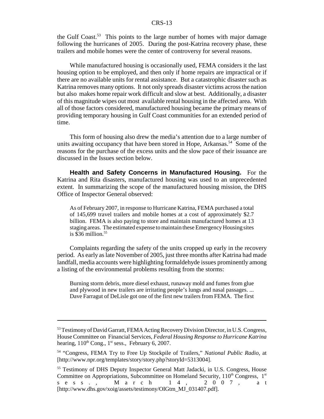the Gulf Coast.<sup>53</sup> This points to the large number of homes with major damage following the hurricanes of 2005. During the post-Katrina recovery phase, these trailers and mobile homes were the center of controversy for several reasons.

While manufactured housing is occasionally used, FEMA considers it the last housing option to be employed, and then only if home repairs are impractical or if there are no available units for rental assistance. But a catastrophic disaster such as Katrina removes many options. It not only spreads disaster victims across the nation but also makes home repair work difficult and slow at best. Additionally, a disaster of this magnitude wipes out most available rental housing in the affected area. With all of those factors considered, manufactured housing became the primary means of providing temporary housing in Gulf Coast communities for an extended period of time.

This form of housing also drew the media's attention due to a large number of units awaiting occupancy that have been stored in Hope, Arkansas.<sup>54</sup> Some of the reasons for the purchase of the excess units and the slow pace of their issuance are discussed in the Issues section below.

**Health and Safety Concerns in Manufactured Housing.** For the Katrina and Rita disasters, manufactured housing was used to an unprecedented extent. In summarizing the scope of the manufactured housing mission, the DHS Office of Inspector General observed:

As of February 2007, in response to Hurricane Katrina, FEMA purchased a total of 145,699 travel trailers and mobile homes at a cost of approximately \$2.7 billion. FEMA is also paying to store and maintain manufactured homes at 13 staging areas. The estimated expense to maintain these Emergency Housing sites is  $$36$  million.<sup>55</sup>

Complaints regarding the safety of the units cropped up early in the recovery period. As early as late November of 2005, just three months after Katrina had made landfall, media accounts were highlighting formaldehyde issues prominently among a listing of the environmental problems resulting from the storms:

Burning storm debris, more diesel exhaust, runaway mold and fumes from glue and plywood in new trailers are irritating people's lungs and nasal passages. ... Dave Farragut of DeLisle got one of the first new trailers from FEMA. The first

<sup>&</sup>lt;sup>53</sup> Testimony of David Garratt, FEMA Acting Recovery Division Director, in U.S. Congress, House Committee on Financial Services, *Federal Housing Response to Hurricane Katrina* hearing,  $110^{th}$  Cong.,  $1^{st}$  sess., February 6, 2007.

<sup>54 &</sup>quot;Congress, FEMA Try to Free Up Stockpile of Trailers," *National Public Radio*, at [http://www.npr.org/templates/story/story.php?storyId=5313004].

<sup>55</sup> Testimony of DHS Deputy Inspector General Matt Jadacki, in U.S. Congress, House Committee on Appropriations, Subcommittee on Homeland Security,  $110^{th}$  Congress,  $1^{st}$  s e s s . , M a r c h 1 4, 2 0 0 7, a t sess., March 14, 2007, at [http://www.dhs.gov/xoig/assets/testimony/OIGtm\_MJ\_031407.pdf].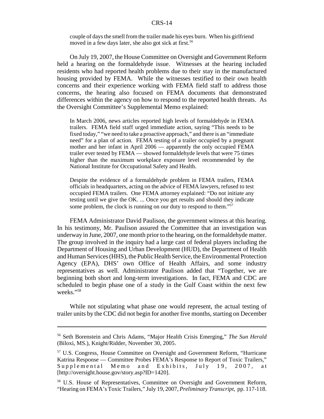couple of days the smell from the trailer made his eyes burn. When his girlfriend moved in a few days later, she also got sick at first.<sup>56</sup>

On July 19, 2007, the House Committee on Oversight and Government Reform held a hearing on the formaldehyde issue. Witnesses at the hearing included residents who had reported health problems due to their stay in the manufactured housing provided by FEMA. While the witnesses testified to their own health concerns and their experience working with FEMA field staff to address those concerns, the hearing also focused on FEMA documents that demonstrated differences within the agency on how to respond to the reported health threats. As the Oversight Committee's Supplemental Memo explained:

In March 2006, news articles reported high levels of formaldehyde in FEMA trailers. FEMA field staff urged immediate action, saying "This needs to be fixed today," "we need to take a proactive approach," and there is an "immediate need" for a plan of action. FEMA testing of a trailer occupied by a pregnant mother and her infant in April 2006 — apparently the only occupied FEMA trailer ever tested by FEMA — showed formaldehyde levels that were 75 times higher than the maximum workplace exposure level recommended by the National Institute for Occupational Safety and Health.

Despite the evidence of a formaldehyde problem in FEMA trailers, FEMA officials in headquarters, acting on the advice of FEMA lawyers, refused to test occupied FEMA trailers. One FEMA attorney explained: "Do not initiate any testing until we give the OK. ... Once you get results and should they indicate some problem, the clock is running on our duty to respond to them."<sup>57</sup>

FEMA Administrator David Paulison, the government witness at this hearing. In his testimony, Mr. Paulison assured the Committee that an investigation was underway in June, 2007, one month prior to the hearing, on the formaldehyde matter. The group involved in the inquiry had a large cast of federal players including the Department of Housing and Urban Development (HUD), the Department of Health and Human Services (HHS), the Public Health Service, the Environmental Protection Agency (EPA), DHS' own Office of Health Affairs, and some industry representatives as well. Administrator Paulison added that "Together, we are beginning both short and long-term investigations. In fact, FEMA and CDC are scheduled to begin phase one of a study in the Gulf Coast within the next few weeks."58

While not stipulating what phase one would represent, the actual testing of trailer units by the CDC did not begin for another five months, starting on December

<sup>56</sup> Seth Borenstein and Chris Adams, "Major Health Crisis Emerging," *The Sun Herald* (Biloxi, MS.), Knight/Ridder, November 30, 2005.

 $57$  U.S. Congress, House Committee on Oversight and Government Reform, "Hurricane" Katrina Response — Committee Probes FEMA's Response to Report of Toxic Trailers," Supplemental Memo and Exhibits, July 19, 2007, at [http://oversight.house.gov/story.asp?ID=1420].

<sup>58</sup> U.S. House of Representatives, Committee on Oversight and Government Reform, "Hearing on FEMA's Toxic Trailers," July 19, 2007, *Preliminary Transcript,* pp. 117-118.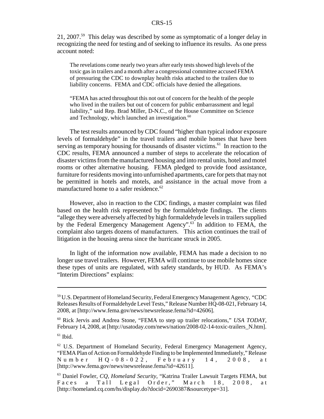21, 2007.<sup>59</sup> This delay was described by some as symptomatic of a longer delay in recognizing the need for testing and of seeking to influence its results. As one press account noted:

The revelations come nearly two years after early tests showed high levels of the toxic gas in trailers and a month after a congressional committee accused FEMA of pressuring the CDC to downplay health risks attached to the trailers due to liability concerns. FEMA and CDC officials have denied the allegations.

"FEMA has acted throughout this not out of concern for the health of the people who lived in the trailers but out of concern for public embarrassment and legal liability," said Rep. Brad Miller, D-N.C., of the House Committee on Science and Technology, which launched an investigation. $60$ 

The test results announced by CDC found "higher than typical indoor exposure levels of formaldehyde" in the travel trailers and mobile homes that have been serving as temporary housing for thousands of disaster victims.<sup>61</sup> In reaction to the CDC results, FEMA announced a number of steps to accelerate the relocation of disaster victims from the manufactured housing and into rental units, hotel and motel rooms or other alternative housing. FEMA pledged to provide food assistance, furniture for residents moving into unfurnished apartments, care for pets that may not be permitted in hotels and motels, and assistance in the actual move from a manufactured home to a safer residence.<sup>62</sup>

However, also in reaction to the CDC findings, a master complaint was filed based on the health risk represented by the formaldehyde findings. The clients "allege they were adversely affected by high formaldehyde levels in trailers supplied by the Federal Emergency Management Agency".<sup>63</sup> In addition to FEMA, the complaint also targets dozens of manufacturers. This action continues the trail of litigation in the housing arena since the hurricane struck in 2005.

In light of the information now available, FEMA has made a decision to no longer use travel trailers. However, FEMA will continue to use mobile homes since these types of units are regulated, with safety standards, by HUD. As FEMA's "Interim Directions" explains:

<sup>59</sup> U.S. Department of Homeland Security, Federal Emergency Management Agency, "CDC Releases Results of Formaldehyde Level Tests," Release Number HQ-08-021, February 14, 2008, at [http://www.fema.gov/news/newsrelease.fema?id=42606].

<sup>60</sup> Rick Jervis and Andrea Stone, "FEMA to step up trailer relocations," *USA TODAY,* February 14, 2008, at [http://usatoday.com/news/nation/2008-02-14-toxic-trailers N.htm].

 $61$  Ibid.

 $62$  U.S. Department of Homeland Security, Federal Emergency Management Agency, "FEMA Plan of Action on Formaldehyde Finding to be Implemented Immediately," Release Number HQ-08-022, February 14, 2008, at [http://www.fema.gov/news/newsrelease.fema?id=42611].

<sup>63</sup> Daniel Fowler, *CQ, Homeland Security*, "Katrina Trailer Lawsuit Targets FEMA, but Faces a Tall Legal Order," March 18, 2008, at [http://homeland.cq.com/hs/display.do?docid=2690387&sourcetype=31].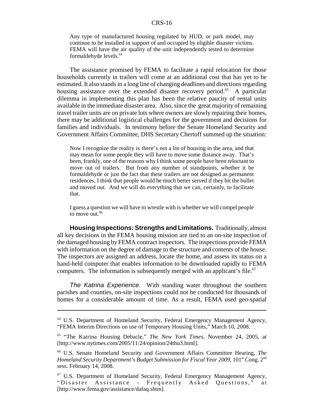Any type of manufactured housing regulated by HUD, or park model, may continue to be installed in support of and occupied by eligible disaster victims. FEMA will have the air quality of the unit independently tested to determine formaldehyde levels.<sup>64</sup>

The assistance promised by FEMA to facilitate a rapid relocation for those households currently in trailers will come at an additional cost that has yet to be estimated. It also stands in a long line of changing deadlines and directions regarding housing assistance over the extended disaster recovery period.<sup>65</sup> A particular dilemma in implementing this plan has been the relative paucity of rental units available in the immediate disaster area. Also, since the great majority of remaining travel trailer units are on private lots where owners are slowly repairing their homes, there may be additional logistical challenges for the government and decisions for families and individuals. In testimony before the Senate Homeland Security and Government Affairs Committee, DHS Secretary Chertoff summed up the situation:

Now I recognize the reality is there's not a lot of housing in the area, and that may mean for some people they will have to move some distance away. That's been, frankly, one of the reasons why I think some people have been reluctant to move out of trailers. But from any number of standpoints, whether it be formaldehyde or just the fact that these trailers are not designed as permanent residences, I think that people would be much better served if they bit the bullet and moved out. And we will do everything that we can, certainly, to facilitate that.

I guess a question we will have to wrestle with is whether we will compel people to move out.<sup>66</sup>

**Housing Inspections: Strengths and Limitations.** Traditionally, almost all key decisions in the FEMA housing mission are tied to an on-site inspection of the damaged housing by FEMA contract inspectors. The inspections provide FEMA with information on the degree of damage to the structure and contents of the house. The inspectors are assigned an address, locate the home, and assess its status on a hand-held computer that enables information to be downloaded rapidly to FEMA computers. The information is subsequently merged with an applicant's file.<sup>67</sup>

*The Katrina Experience.* With standing water throughout the southern parishes and counties, on-site inspections could not be conducted for thousands of homes for a considerable amount of time. As a result, FEMA used geo-spatial

<sup>64</sup> U.S. Department of Homeland Security, Federal Emergency Management Agency, "FEMA Interim Directions on use of Temporary Housing Units," March 10, 2008.

<sup>65 &</sup>quot;The Katrina Housing Debacle," *The New York Times,* November 24, 2005, at [http://www.nytimes.com/2005/11/24/opinion/24thu3.html].

<sup>66</sup> U.S. Senate Homeland Security and Government Affairs Committee Hearing, *The Homeland Security Department's Budget Submission for Fiscal Year 2009*, 101<sup>st</sup> Cong. 2<sup>nd</sup> sess. February 14, 2008.

<sup>67</sup> U.S. Department of Homeland Security, Federal Emergency Management Agency, "Disaster Assistance - Frequently Asked Questions," at [http://www.fema.gov/assistance/dafaq.shtm].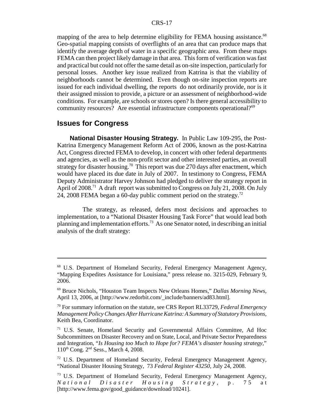mapping of the area to help determine eligibility for FEMA housing assistance.<sup>68</sup> Geo-spatial mapping consists of overflights of an area that can produce maps that identify the average depth of water in a specific geographic area. From these maps FEMA can then project likely damage in that area. This form of verification was fast and practical but could not offer the same detail as on-site inspection, particularly for personal losses. Another key issue realized from Katrina is that the viability of neighborhoods cannot be determined. Even though on-site inspection reports are issued for each individual dwelling, the reports do not ordinarily provide, nor is it their assigned mission to provide, a picture or an assessment of neighborhood-wide conditions. For example, are schools or stores open? Is there general accessibility to community resources? Are essential infrastructure components operational?<sup>69</sup>

#### **Issues for Congress**

**National Disaster Housing Strategy.** In Public Law 109-295, the Post-Katrina Emergency Management Reform Act of 2006, known as the post-Katrina Act, Congress directed FEMA to develop, in concert with other federal departments and agencies, as well as the non-profit sector and other interested parties, an overall strategy for disaster housing.<sup>70</sup> This report was due 270 days after enactment, which would have placed its due date in July of 2007. In testimony to Congress, FEMA Deputy Administrator Harvey Johnson had pledged to deliver the strategy report in April of  $2008<sup>71</sup>$  A draft report was submitted to Congress on July 21, 2008. On July 24, 2008 FEMA began a 60-day public comment period on the strategy.<sup>72</sup>

The strategy, as released, defers most decisions and approaches to implementation, to a "National Disaster Housing Task Force" that would lead both planning and implementation efforts.<sup>73</sup> As one Senator noted, in describing an initial analysis of the draft strategy:

<sup>68</sup> U.S. Department of Homeland Security, Federal Emergency Management Agency, "Mapping Expedites Assistance for Louisiana," press release no. 3215-029, February 9, 2006.

<sup>69</sup> Bruce Nichols, "Houston Team Inspects New Orleans Homes," *Dallas Morning News,* April 13, 2006, at [http://www.redorbit.com/\_include/banners/ad83.html].

<sup>70</sup> For summary information on the statute, see CRS Report RL33729, *Federal Emergency Management Policy Changes After Hurricane Katrina: A Summary of Statutory Provisions,* Keith Bea, Coordinator.

<sup>71</sup> U.S. Senate, Homeland Security and Governmental Affairs Committee, Ad Hoc Subcommittees on Disaster Recovery and on State, Local, and Private Sector Preparedness and Integration, "*Is Housing too Much to Hope for? FEMA's disaster housing strategy,*" 110th Cong. 2nd Sess., March 4, 2008.

<sup>72</sup> U.S. Department of Homeland Security, Federal Emergency Management Agency, "National Disaster Housing Strategy, 73 *Federal Register 43250,* July 24, 2008.

<sup>73</sup> U.S. Department of Homeland Security, Federal Emergency Management Agency, *National Disaster Housing Strategy,* p. 75 at [http://www.fema.gov/good\_guidance/download/10241].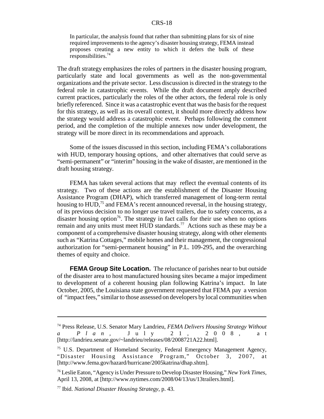In particular, the analysis found that rather than submitting plans for six of nine required improvements to the agency's disaster housing strategy, FEMA instead proposes creating a new entity to which it defers the bulk of these responsibilities.74

The draft strategy emphasizes the roles of partners in the disaster housing program, particularly state and local governments as well as the non-governmental organizations and the private sector. Less discussion is directed in the strategy to the federal role in catastrophic events. While the draft document amply described current practices, particularly the roles of the other actors, the federal role is only briefly referenced. Since it was a catastrophic event that was the basis for the request for this strategy, as well as its overall context, it should more directly address how the strategy would address a catastrophic event. Perhaps following the comment period, and the completion of the multiple annexes now under development, the strategy will be more direct in its recommendations and approach.

Some of the issues discussed in this section, including FEMA's collaborations with HUD, temporary housing options, and other alternatives that could serve as "semi-permanent" or "interim" housing in the wake of disaster, are mentioned in the draft housing strategy.

FEMA has taken several actions that may reflect the eventual contents of its strategy. Two of these actions are the establishment of the Disaster Housing Assistance Program (DHAP), which transferred management of long-term rental housing to HUD,<sup>75</sup> and FEMA's recent announced reversal, in the housing strategy, of its previous decision to no longer use travel trailers, due to safety concerns, as a disaster housing option<sup>76</sup>. The strategy in fact calls for their use when no options remain and any units must meet HUD standards.<sup>77</sup> Actions such as these may be a component of a comprehensive disaster housing strategy, along with other elements such as "Katrina Cottages," mobile homes and their management, the congressional authorization for "semi-permanent housing" in P.L. 109-295, and the overarching themes of equity and choice.

**FEMA Group Site Location.** The reluctance of parishes near to but outside of the disaster area to host manufactured housing sites became a major impediment to development of a coherent housing plan following Katrina's impact. In late October, 2005, the Louisiana state government requested that FEMA pay a version of "impact fees," similar to those assessed on developers by local communities when

<sup>74</sup> Press Release, U.S. Senator Mary Landrieu, *FEMA Delivers Housing Strategy Without a Plan,* July 21, 20 08, at [http://landrieu.senate.gov/~landrieu/releases/08/2008721A22.html].

<sup>75</sup> U.S. Department of Homeland Security, Federal Emergency Management Agency, "Disaster Housing Assistance Program," October 3, 2007, at [http://www.fema.gov/hazard/hurricane/2005katrina/dhap.shtm].

<sup>76</sup> Leslie Eaton, "Agency is Under Pressure to Develop Disaster Housing," *New York Times,* April 13, 2008, at [http://www.nytimes.com/2008/04/13/us/13trailers.html].

<sup>77</sup> Ibid. *National Disaster Housing Strategy,* p. 43.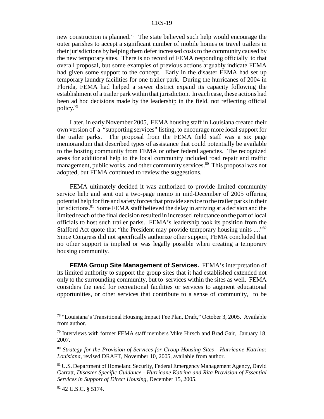new construction is planned.<sup>78</sup> The state believed such help would encourage the outer parishes to accept a significant number of mobile homes or travel trailers in their jurisdictions by helping them defer increased costs to the community caused by the new temporary sites. There is no record of FEMA responding officially to that overall proposal, but some examples of previous actions arguably indicate FEMA had given some support to the concept. Early in the disaster FEMA had set up temporary laundry facilities for one trailer park. During the hurricanes of 2004 in Florida, FEMA had helped a sewer district expand its capacity following the establishment of a trailer park within that jurisdiction. In each case, these actions had been ad hoc decisions made by the leadership in the field, not reflecting official policy.79

Later, in early November 2005, FEMA housing staff in Louisiana created their own version of a "supporting services" listing, to encourage more local support for the trailer parks. The proposal from the FEMA field staff was a six page memorandum that described types of assistance that could potentially be available to the hosting community from FEMA or other federal agencies. The recognized areas for additional help to the local community included road repair and traffic management, public works, and other community services.<sup>80</sup> This proposal was not adopted, but FEMA continued to review the suggestions.

FEMA ultimately decided it was authorized to provide limited community service help and sent out a two-page memo in mid-December of 2005 offering potential help for fire and safety forces that provide service to the trailer parks in their jurisdictions.<sup>81</sup> Some FEMA staff believed the delay in arriving at a decision and the limited reach of the final decision resulted in increased reluctance on the part of local officials to host such trailer parks. FEMA's leadership took its position from the Stafford Act quote that "the President may provide temporary housing units ...."<sup>82</sup> Since Congress did not specifically authorize other support, FEMA concluded that no other support is implied or was legally possible when creating a temporary housing community.

**FEMA Group Site Management of Services.** FEMA's interpretation of its limited authority to support the group sites that it had established extended not only to the surrounding community, but to services within the sites as well. FEMA considers the need for recreational facilities or services to augment educational opportunities, or other services that contribute to a sense of community, to be

<sup>78 &</sup>quot;Louisiana's Transitional Housing Impact Fee Plan, Draft," October 3, 2005. Available from author.

 $79$  Interviews with former FEMA staff members Mike Hirsch and Brad Gair, January 18, 2007.

<sup>80</sup> *Strategy for the Provision of Services for Group Housing Sites - Hurricane Katrina: Louisiana,* revised DRAFT, November 10, 2005, available from author.

<sup>&</sup>lt;sup>81</sup> U.S. Department of Homeland Security, Federal Emergency Management Agency, David Garratt, *Disaster Specific Guidance - Hurricane Katrina and Rita Provision of Essential Services in Support of Direct Housing,* December 15, 2005.

<sup>82 42</sup> U.S.C. § 5174.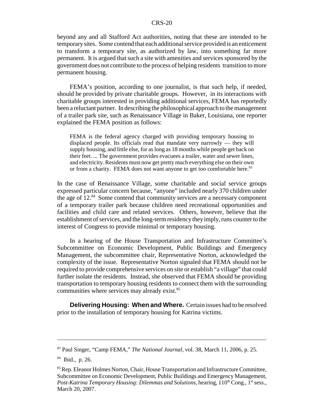beyond any and all Stafford Act authorities, noting that these are intended to be temporary sites. Some contend that each additional service provided is an enticement to transform a temporary site, as authorized by law, into something far more permanent. It is argued that such a site with amenities and services sponsored by the government does not contribute to the process of helping residents transition to more permanent housing.

FEMA's position, according to one journalist, is that such help, if needed, should be provided by private charitable groups. However, in its interactions with charitable groups interested in providing additional services, FEMA has reportedly been a reluctant partner. In describing the philosophical approach to the management of a trailer park site, such as Renaissance Village in Baker, Louisiana, one reporter explained the FEMA position as follows:

FEMA is the federal agency charged with providing temporary housing to displaced people. Its officials read that mandate very narrowly — they will supply housing, and little else, for as long as 18 months while people get back on their feet. ... The government provides evacuees a trailer, water and sewer lines, and electricity. Residents must now get pretty much everything else on their own or from a charity. FEMA does not want anyone to get too comfortable here.<sup>83</sup>

In the case of Renaissance Village, some charitable and social service groups expressed particular concern because, "anyone" included nearly 370 children under the age of 12.<sup>84</sup> Some contend that community services are a necessary component of a temporary trailer park because children need recreational opportunities and facilities and child care and related services. Others, however, believe that the establishment of services, and the long-term residency they imply, runs counter to the interest of Congress to provide minimal or temporary housing.

In a hearing of the House Transportation and Infrastructure Committee's Subcommittee on Economic Development, Public Buildings and Emergency Management, the subcommittee chair, Representative Norton, acknowledged the complexity of the issue. Representative Norton signaled that FEMA should not be required to provide comprehensive services on site or establish "a village" that could further isolate the residents. Instead, she observed that FEMA should be providing transportation to temporary housing residents to connect them with the surrounding communities where services may already exist.<sup>85</sup>

**Delivering Housing: When and Where.** Certain issues had to be resolved prior to the installation of temporary housing for Katrina victims.

<sup>83</sup> Paul Singer, "Camp FEMA," *The National Journal,* vol. 38, March 11, 2006, p. 25.

<sup>84</sup> Ibid., p. 26.

<sup>&</sup>lt;sup>85</sup> Rep. Eleanor Holmes Norton, Chair, House Transportation and Infrastructure Committee, Subcommittee on Economic Development, Public Buildings and Emergency Management, *Post-Katrina Temporary Housing: Dilemmas and Solutions, hearing, 110<sup>th</sup> Cong., 1<sup>st</sup> sess.,* March 20, 2007.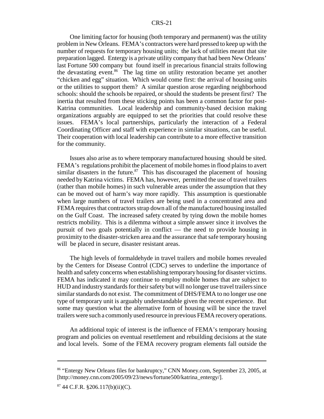One limiting factor for housing (both temporary and permanent) was the utility problem in New Orleans. FEMA's contractors were hard pressed to keep up with the number of requests for temporary housing units; the lack of utilities meant that site preparation lagged. Entergy is a private utility company that had been New Orleans' last Fortune 500 company but found itself in precarious financial straits following the devastating event.<sup>86</sup> The lag time on utility restoration became yet another "chicken and egg" situation. Which would come first: the arrival of housing units or the utilities to support them? A similar question arose regarding neighborhood schools: should the schools be repaired, or should the students be present first? The inertia that resulted from these sticking points has been a common factor for post-Katrina communities. Local leadership and community-based decision making organizations arguably are equipped to set the priorities that could resolve these issues. FEMA's local partnerships, particularly the interaction of a Federal Coordinating Officer and staff with experience in similar situations, can be useful. Their cooperation with local leadership can contribute to a more effective transition for the community.

Issues also arise as to where temporary manufactured housing should be sited. FEMA's regulations prohibit the placement of mobile homes in flood plains to avert similar disasters in the future.<sup>87</sup> This has discouraged the placement of housing needed by Katrina victims. FEMA has, however, permitted the use of travel trailers (rather than mobile homes) in such vulnerable areas under the assumption that they can be moved out of harm's way more rapidly. This assumption is questionable when large numbers of travel trailers are being used in a concentrated area and FEMA requires that contractors strap down all of the manufactured housing installed on the Gulf Coast. The increased safety created by tying down the mobile homes restricts mobility. This is a dilemma without a simple answer since it involves the pursuit of two goals potentially in conflict — the need to provide housing in proximity to the disaster-stricken area and the assurance that safe temporary housing will be placed in secure, disaster resistant areas.

The high levels of formaldehyde in travel trailers and mobile homes revealed by the Centers for Disease Control (CDC) serves to underline the importance of health and safety concerns when establishing temporary housing for disaster victims. FEMA has indicated it may continue to employ mobile homes that are subject to HUD and industry standards for their safety but will no longer use travel trailers since similar standards do not exist. The commitment of DHS/FEMA to no longer use one type of temporary unit is arguably understandable given the recent experience. But some may question what the alternative form of housing will be since the travel trailers were such a commonly used resource in previous FEMA recovery operations.

An additional topic of interest is the influence of FEMA's temporary housing program and policies on eventual resettlement and rebuilding decisions at the state and local levels. Some of the FEMA recovery program elements fall outside the

<sup>86 &</sup>quot;Entergy New Orleans files for bankruptcy," CNN Money.com, September 23, 2005, at [http://money.cnn.com/2005/09/23/news/fortune500/katrina\_entergy/].

<sup>87 44</sup> C.F.R. §206.117(b)(ii)(C).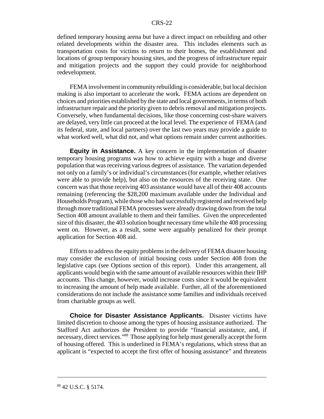defined temporary housing arena but have a direct impact on rebuilding and other related developments within the disaster area. This includes elements such as transportation costs for victims to return to their homes, the establishment and locations of group temporary housing sites, and the progress of infrastructure repair and mitigation projects and the support they could provide for neighborhood redevelopment.

FEMA involvement in community rebuilding is considerable, but local decision making is also important to accelerate the work. FEMA actions are dependent on choices and priorities established by the state and local governments, in terms of both infrastructure repair and the priority given to debris removal and mitigation projects. Conversely, when fundamental decisions, like those concerning cost-share waivers are delayed, very little can proceed at the local level. The experience of FEMA (and its federal, state, and local partners) over the last two years may provide a guide to what worked well, what did not, and what options remain under current authorities.

**Equity in Assistance.** A key concern in the implementation of disaster temporary housing programs was how to achieve equity with a huge and diverse population that was receiving various degrees of assistance. The variation depended not only on a family's or individual's circumstances (for example, whether relatives were able to provide help), but also on the resources of the receiving state. One concern was that those receiving 403 assistance would have all of their 408 accounts remaining (referencing the \$28,200 maximum available under the Individual and Households Program), while those who had successfully registered and received help through more traditional FEMA processes were already drawing down from the total Section 408 amount available to them and their families. Given the unprecedented size of this disaster, the 403 solution bought necessary time while the 408 processing went on. However, as a result, some were arguably penalized for their prompt application for Section 408 aid.

Efforts to address the equity problems in the delivery of FEMA disaster housing may consider the exclusion of initial housing costs under Section 408 from the legislative caps (see Options section of this report). Under this arrangement, all applicants would begin with the same amount of available resources within their IHP accounts. This change, however, would increase costs since it would be equivalent to increasing the amount of help made available. Further, all of the aforementioned considerations do not include the assistance some families and individuals received from charitable groups as well.

**Choice for Disaster Assistance Applicants.** Disaster victims have limited discretion to choose among the types of housing assistance authorized. The Stafford Act authorizes the President to provide "financial assistance, and, if necessary, direct services."88 Those applying for help must generally accept the form of housing offered. This is underlined in FEMA's regulations, which stress that an applicant is "expected to accept the first offer of housing assistance" and threatens

<sup>88 42</sup> U.S.C. § 5174.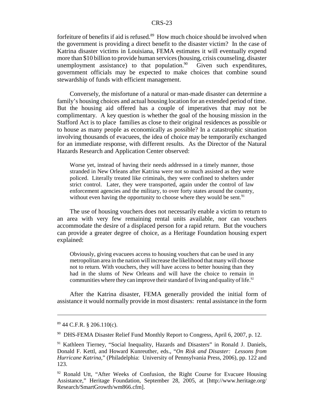forfeiture of benefits if aid is refused.<sup>89</sup> How much choice should be involved when the government is providing a direct benefit to the disaster victim? In the case of Katrina disaster victims in Louisiana, FEMA estimates it will eventually expend more than \$10 billion to provide human services (housing, crisis counseling, disaster unemployment assistance) to that population.<sup>90</sup> Given such expenditures, government officials may be expected to make choices that combine sound stewardship of funds with efficient management.

Conversely, the misfortune of a natural or man-made disaster can determine a family's housing choices and actual housing location for an extended period of time. But the housing aid offered has a couple of imperatives that may not be complimentary. A key question is whether the goal of the housing mission in the Stafford Act is to place families as close to their original residences as possible or to house as many people as economically as possible? In a catastrophic situation involving thousands of evacuees, the idea of choice may be temporarily exchanged for an immediate response, with different results. As the Director of the Natural Hazards Research and Application Center observed:

Worse yet, instead of having their needs addressed in a timely manner, those stranded in New Orleans after Katrina were not so much assisted as they were policed. Literally treated like criminals, they were confined to shelters under strict control. Later, they were transported, again under the control of law enforcement agencies and the military, to over forty states around the country, without even having the opportunity to choose where they would be sent.<sup>91</sup>

The use of housing vouchers does not necessarily enable a victim to return to an area with very few remaining rental units available, nor can vouchers accommodate the desire of a displaced person for a rapid return. But the vouchers can provide a greater degree of choice, as a Heritage Foundation housing expert explained:

Obviously, giving evacuees access to housing vouchers that can be used in any metropolitan area in the nation will increase the likelihood that many will choose not to return. With vouchers, they will have access to better housing than they had in the slums of New Orleans and will have the choice to remain in communities where they can improve their standard of living and quality of life.<sup>92</sup>

After the Katrina disaster, FEMA generally provided the initial form of assistance it would normally provide in most disasters: rental assistance in the form

<sup>89 44</sup> C.F.R. § 206.110(c).

<sup>90</sup> DHS-FEMA Disaster Relief Fund Monthly Report to Congress, April 6, 2007, p. 12.

<sup>91</sup> Kathleen Tierney, "Social Inequality, Hazards and Disasters" in Ronald J. Daniels, Donald F. Kettl, and Howard Kunreuther, eds., "*On Risk and Disaster: Lessons from Hurricane Katrina*," (Philadelphia: University of Pennsylvania Press, 2006), pp. 122 and 123.

 $92$  Ronald Utt, "After Weeks of Confusion, the Right Course for Evacuee Housing Assistance," Heritage Foundation, September 28, 2005, at [http://www.heritage.org/ Research/SmartGrowth/wm866.cfm].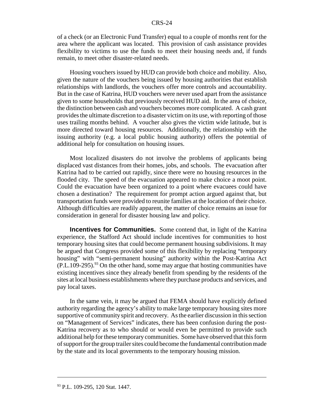of a check (or an Electronic Fund Transfer) equal to a couple of months rent for the area where the applicant was located. This provision of cash assistance provides flexibility to victims to use the funds to meet their housing needs and, if funds remain, to meet other disaster-related needs.

Housing vouchers issued by HUD can provide both choice and mobility. Also, given the nature of the vouchers being issued by housing authorities that establish relationships with landlords, the vouchers offer more controls and accountability. But in the case of Katrina, HUD vouchers were never used apart from the assistance given to some households that previously received HUD aid. In the area of choice, the distinction between cash and vouchers becomes more complicated. A cash grant provides the ultimate discretion to a disaster victim on its use, with reporting of those uses trailing months behind. A voucher also gives the victim wide latitude, but is more directed toward housing resources. Additionally, the relationship with the issuing authority (e.g. a local public housing authority) offers the potential of additional help for consultation on housing issues.

Most localized disasters do not involve the problems of applicants being displaced vast distances from their homes, jobs, and schools. The evacuation after Katrina had to be carried out rapidly, since there were no housing resources in the flooded city. The speed of the evacuation appeared to make choice a moot point. Could the evacuation have been organized to a point where evacuees could have chosen a destination? The requirement for prompt action argued against that, but transportation funds were provided to reunite families at the location of their choice. Although difficulties are readily apparent, the matter of choice remains an issue for consideration in general for disaster housing law and policy.

**Incentives for Communities.** Some contend that, in light of the Katrina experience, the Stafford Act should include incentives for communities to host temporary housing sites that could become permanent housing subdivisions. It may be argued that Congress provided some of this flexibility by replacing "temporary housing" with "semi-permanent housing" authority within the Post-Katrina Act  $(P.L.109-295)$ . <sup>93</sup> On the other hand, some may argue that hosting communities have existing incentives since they already benefit from spending by the residents of the sites at local business establishments where they purchase products and services, and pay local taxes.

In the same vein, it may be argued that FEMA should have explicitly defined authority regarding the agency's ability to make large temporary housing sites more supportive of community spirit and recovery. As the earlier discussion in this section on "Management of Services" indicates, there has been confusion during the post-Katrina recovery as to who should or would even be permitted to provide such additional help for these temporary communities. Some have observed that this form of support for the group trailer sites could become the fundamental contribution made by the state and its local governments to the temporary housing mission.

<sup>&</sup>lt;sup>93</sup> P.L. 109-295, 120 Stat. 1447.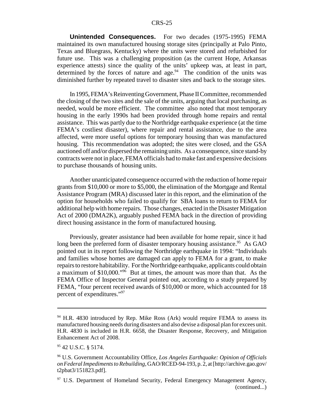**Unintended Consequences.** For two decades (1975-1995) FEMA maintained its own manufactured housing storage sites (principally at Palo Pinto, Texas and Bluegrass, Kentucky) where the units were stored and refurbished for future use. This was a challenging proposition (as the current Hope, Arkansas experience attests) since the quality of the units' upkeep was, at least in part, determined by the forces of nature and age. $94$  The condition of the units was diminished further by repeated travel to disaster sites and back to the storage sites.

In 1995, FEMA's Reinventing Government, Phase II Committee, recommended the closing of the two sites and the sale of the units, arguing that local purchasing, as needed, would be more efficient. The committee also noted that most temporary housing in the early 1990s had been provided through home repairs and rental assistance. This was partly due to the Northridge earthquake experience (at the time FEMA's costliest disaster), where repair and rental assistance, due to the area affected, were more useful options for temporary housing than was manufactured housing. This recommendation was adopted; the sites were closed, and the GSA auctioned off and/or dispersed the remaining units. As a consequence, since stand-by contracts were not in place, FEMA officials had to make fast and expensive decisions to purchase thousands of housing units.

Another unanticipated consequence occurred with the reduction of home repair grants from \$10,000 or more to \$5,000, the elimination of the Mortgage and Rental Assistance Program (MRA) discussed later in this report, and the elimination of the option for households who failed to qualify for SBA loans to return to FEMA for additional help with home repairs. Those changes, enacted in the Disaster Mitigation Act of 2000 (DMA2K), arguably pushed FEMA back in the direction of providing direct housing assistance in the form of manufactured housing.

Previously, greater assistance had been available for home repair, since it had long been the preferred form of disaster temporary housing assistance.<sup>95</sup> As GAO pointed out in its report following the Northridge earthquake in 1994: "Individuals and families whose homes are damaged can apply to FEMA for a grant, to make repairs to restore habitability. For the Northridge earthquake, applicants could obtain a maximum of \$10,000."96 But at times, the amount was more than that. As the FEMA Office of Inspector General pointed out, according to a study prepared by FEMA, "four percent received awards of \$10,000 or more, which accounted for 18 percent of expenditures."<sup>97</sup>

 $94$  H.R. 4830 introduced by Rep. Mike Ross (Ark) would require FEMA to assess its manufactured housing needs during disasters and also devise a disposal plan for excees unit. H.R. 4830 is included in H.R. 6658, the Disaster Response, Recovery, and Mitigation Enhancement Act of 2008.

<sup>95 42</sup> U.S.C. § 5174.

<sup>96</sup> U.S. Government Accountability Office, *Los Angeles Earthquake: Opinion of Officials on Federal Impediments to Rebuilding,* GAO/RCED-94-193, p. 2, at [http://archive.gao.gov/ t2pbat3/151823.pdf].

<sup>&</sup>lt;sup>97</sup> U.S. Department of Homeland Security, Federal Emergency Management Agency, (continued...)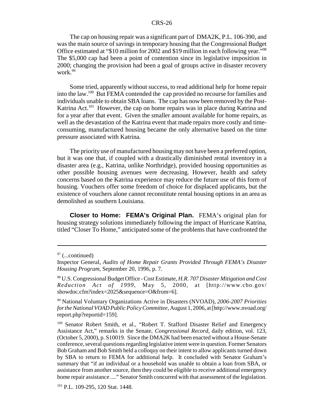The cap on housing repair was a significant part of DMA2K, P.L. 106-390, and was the main source of savings in temporary housing that the Congressional Budget Office estimated at "\$10 million for 2002 and \$19 million in each following year."98 The \$5,000 cap had been a point of contention since its legislative imposition in 2000; changing the provision had been a goal of groups active in disaster recovery work.<sup>99</sup>

Some tried, apparently without success, to read additional help for home repair into the law.100 But FEMA contended the cap provided no recourse for families and individuals unable to obtain SBA loans. The cap has now been removed by the Post-Katrina Act.<sup>101</sup> However, the cap on home repairs was in place during Katrina and for a year after that event. Given the smaller amount available for home repairs, as well as the devastation of the Katrina event that made repairs more costly and timeconsuming, manufactured housing became the only alternative based on the time pressure associated with Katrina.

The priority use of manufactured housing may not have been a preferred option, but it was one that, if coupled with a drastically diminished rental inventory in a disaster area (e.g., Katrina, unlike Northridge), provided housing opportunities as other possible housing avenues were decreasing. However, health and safety concerns based on the Katrina experience may reduce the future use of this form of housing. Vouchers offer some freedom of choice for displaced applicants, but the existence of vouchers alone cannot reconstitute rental housing options in an area as demolished as southern Louisiana.

**Closer to Home: FEMA's Original Plan.** FEMA's original plan for housing strategy solutions immediately following the impact of Hurricane Katrina, titled "Closer To Home," anticipated some of the problems that have confronted the

 $97$  (...continued)

Inspector General, *Audits of Home Repair Grants Provided Through FEMA's Disaster Housing Program,* September 20, 1996, p. 7.

<sup>98</sup> U.S. Congressional Budget Office - Cost Estimate, *H.R. 707 Disaster Mitigation and Cost Reduction Act of 1999,* May 5, 2000, at [http://www.cbo.gov/ showdoc.cfm?index=2025&sequence=O&from=6].

<sup>99</sup> National Voluntary Organizations Active in Disasters (NVOAD), *2006-2007 Priorities for the National VOAD Public Policy Committee,* August 1, 2006, at [http://www.nvoad.org/ report.php?reportid=159].

<sup>&</sup>lt;sup>100</sup> Senator Robert Smith, et al., "Robert T. Stafford Disaster Relief and Emergency Assistance Act," remarks in the Senate, *Congressional Record*, daily edition, vol. 123, (October 5, 2000), p. S10019. Since the DMA2K had been enacted without a House-Senate conference, several questions regarding legislative intent were in question. Former Senators Bob Graham and Bob Smith held a colloquy on their intent to allow applicants turned down by SBA to return to FEMA for additional help. It concluded with Senator Graham's summary that "if an individual or a household was unable to obtain a loan from SBA, or assistance from another source, then they could be eligible to receive additional emergency home repair assistance ...." Senator Smith concurred with that assessment of the legislation.

<sup>101</sup> P.L. 109-295, 120 Stat. 1448.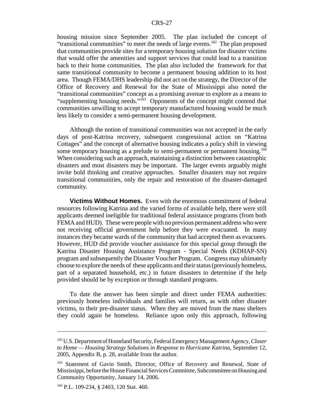housing mission since September 2005. The plan included the concept of "transitional communities" to meet the needs of large events.<sup>102</sup> The plan proposed that communities provide sites for a temporary housing solution for disaster victims that would offer the amenities and support services that could lead to a transition back to their home communities. The plan also included the framework for that same transitional community to become a permanent housing addition to its host area. Though FEMA/DHS leadership did not act on the strategy, the Director of the Office of Recovery and Renewal for the State of Mississippi also noted the "transitional communities" concept as a promising avenue to explore as a means to "supplementing housing needs."<sup>103</sup> Opponents of the concept might contend that communities unwilling to accept temporary manufactured housing would be much less likely to consider a semi-permanent housing development.

Although the notion of transitional communities was not accepted in the early days of post-Katrina recovery, subsequent congressional action on "Katrina Cottages" and the concept of alternative housing indicates a policy shift in viewing some temporary housing as a prelude to semi-permanent or permanent housing.<sup>104</sup> When considering such an approach, maintaining a distinction between catastrophic disasters and most disasters may be important. The larger events arguably might invite bold thinking and creative approaches. Smaller disasters may not require transitional communities, only the repair and restoration of the disaster-damaged community.

**Victims Without Homes.** Even with the enormous commitment of federal resources following Katrina and the varied forms of available help, there were still applicants deemed ineligible for traditional federal assistance programs (from both FEMA and HUD). These were people with no previous permanent address who were not receiving official government help before they were evacuated. In many instances they became wards of the community that had accepted them as evacuees. However, HUD did provide voucher assistance for this special group through the Katrina Disaster Housing Assistance Program - Special Needs (KDHAP-SN) program and subsequently the Disaster Voucher Program. Congress may ultimately choose to explore the needs of these applicants and their status (previously homeless, part of a separated household, etc.) in future disasters to determine if the help provided should be by exception or through standard programs.

To date the answer has been simple and direct under FEMA authorities: previously homeless individuals and families will return, as with other disaster victims, to their pre-disaster status. When they are moved from the mass shelters they could again be homeless. Reliance upon only this approach, following

<sup>102</sup> U.S. Department of Homeland Security, Federal Emergency Management Agency, *Closer to Home — Housing Strategy Solutions in Response to Hurricane Katrina*, September 12, 2005, Appendix B, p. 28, available from the author.

<sup>&</sup>lt;sup>103</sup> Statement of Gavin Smith, Director, Office of Recovery and Renewal, State of Mississippi, before the House Financial Services Committee, Subcommittee on Housing and Community Opportunity, January 14, 2006.

<sup>104</sup> P.L. 109-234, § 2403, 120 Stat. 460.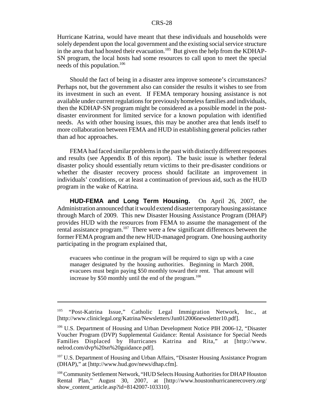Hurricane Katrina, would have meant that these individuals and households were solely dependent upon the local government and the existing social service structure in the area that had hosted their evacuation.<sup>105</sup> But given the help from the KDHAP-SN program, the local hosts had some resources to call upon to meet the special needs of this population.106

Should the fact of being in a disaster area improve someone's circumstances? Perhaps not, but the government also can consider the results it wishes to see from its investment in such an event. If FEMA temporary housing assistance is not available under current regulations for previously homeless families and individuals, then the KDHAP-SN program might be considered as a possible model in the postdisaster environment for limited service for a known population with identified needs. As with other housing issues, this may be another area that lends itself to more collaboration between FEMA and HUD in establishing general policies rather than ad hoc approaches.

FEMA had faced similar problems in the past with distinctly different responses and results (see Appendix B of this report). The basic issue is whether federal disaster policy should essentially return victims to their pre-disaster conditions or whether the disaster recovery process should facilitate an improvement in individuals' conditions, or at least a continuation of previous aid, such as the HUD program in the wake of Katrina.

**HUD-FEMA and Long Term Housing.** On April 26, 2007, the Administration announced that it would extend disaster temporary housing assistance through March of 2009. This new Disaster Housing Assistance Program (DHAP) provides HUD with the resources from FEMA to assume the management of the rental assistance program.<sup>107</sup> There were a few significant differences between the former FEMA program and the new HUD-managed program. One housing authority participating in the program explained that,

evacuees who continue in the program will be required to sign up with a case manager designated by the housing authorities. Beginning in March 2008, evacuees must begin paying \$50 monthly toward their rent. That amount will increase by \$50 monthly until the end of the program.<sup>108</sup>

<sup>105 &</sup>quot;Post-Katrina Issue," Catholic Legal Immigration Network, Inc., at [http://www.cliniclegal.org/Katrina/Newsletters/Jun012006newsletter10.pdf].

<sup>&</sup>lt;sup>106</sup> U.S. Department of Housing and Urban Development Notice PIH 2006-12, "Disaster Voucher Program (DVP) Supplemental Guidance: Rental Assistance for Special Needs Families Displaced by Hurricanes Katrina and Rita," at [http://www. nelrod.com/dvp%20sn%20guidance.pdf].

<sup>&</sup>lt;sup>107</sup> U.S. Department of Housing and Urban Affairs, "Disaster Housing Assistance Program (DHAP)," at [http://www.hud.gov/news/dhap.cfm].

<sup>108</sup> Community Settlement Network, "HUD Selects Housing Authorities for DHAP Houston Rental Plan," August 30, 2007, at [http://www.houstonhurricanerecovery.org/ show\_content\_article.asp?id=8142007-103310].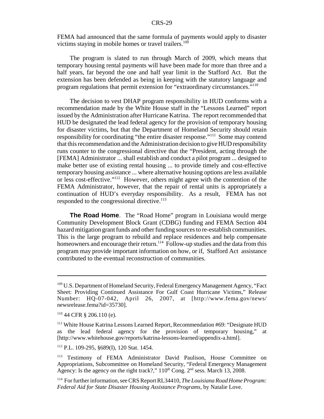FEMA had announced that the same formula of payments would apply to disaster victims staying in mobile homes or travel trailers.<sup>109</sup>

The program is slated to run through March of 2009, which means that temporary housing rental payments will have been made for more than three and a half years, far beyond the one and half year limit in the Stafford Act. But the extension has been defended as being in keeping with the statutory language and program regulations that permit extension for "extraordinary circumstances."110

The decision to vest DHAP program responsibility in HUD conforms with a recommendation made by the White House staff in the "Lessons Learned" report issued by the Administration after Hurricane Katrina. The report recommended that HUD be designated the lead federal agency for the provision of temporary housing for disaster victims, but that the Department of Homeland Security should retain responsibility for coordinating "the entire disaster response."111 Some may contend that this recommendation and the Administration decision to give HUD responsibility runs counter to the congressional directive that the "President, acting through the [FEMA] Administrator ... shall establish and conduct a pilot program ... designed to make better use of existing rental housing ... to provide timely and cost-effective temporary housing assistance ... where alternative housing options are less available or less cost-effective."112 However, others might agree with the contention of the FEMA Administrator, however, that the repair of rental units is appropriately a continuation of HUD's everyday responsibility. As a result, FEMA has not responded to the congressional directive.<sup>113</sup>

**The Road Home**. The "Road Home" program in Louisiana would merge Community Development Block Grant (CDBG) funding and FEMA Section 404 hazard mitigation grant funds and other funding sources to re-establish communities. This is the large program to rebuild and replace residences and help compensate homeowners and encourage their return.<sup>114</sup> Follow-up studies and the data from this program may provide important information on how, or if, Stafford Act assistance contributed to the eventual reconstruction of communities.

112 P.L. 109-295, §689(I), 120 Stat. 1454.

<sup>109</sup> U.S. Department of Homeland Security, Federal Emergency Management Agency, "Fact Sheet: Providing Continued Assistance For Gulf Coast Hurricane Victims," Release Number: HQ-07-042, April 26, 2007, at [http://www.fema.gov/news/ newsrelease.fema?id=35730].

 $110$  44 CFR § 206.110 (e).

<sup>&</sup>lt;sup>111</sup> White House Katrina Lessons Learned Report, Recommendation #69: "Designate HUD as the lead federal agency for the provision of temporary housing," at [http://www.whitehouse.gov/reports/katrina-lessons-learned/appendix-a.html].

<sup>&</sup>lt;sup>113</sup> Testimony of FEMA Administrator David Paulison, House Committee on Appropriations, Subcommittee on Homeland Security, "Federal Emergency Management Agency: Is the agency on the right track?,"  $110^{th}$  Cong.  $2^{nd}$  sess. March 13, 2008.

<sup>114</sup> For further information, see CRS Report RL34410, *The Louisiana Road Home Program: Federal Aid for State Disaster Housing Assistance Programs,* by Natalie Love.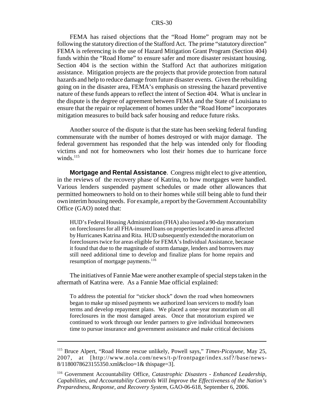FEMA has raised objections that the "Road Home" program may not be following the statutory direction of the Stafford Act. The prime "statutory direction" FEMA is referencing is the use of Hazard Mitigation Grant Program (Section 404) funds within the "Road Home" to ensure safer and more disaster resistant housing. Section 404 is the section within the Stafford Act that authorizes mitigation assistance. Mitigation projects are the projects that provide protection from natural hazards and help to reduce damage from future disaster events. Given the rebuilding going on in the disaster area, FEMA's emphasis on stressing the hazard preventive nature of these funds appears to reflect the intent of Section 404. What is unclear in the dispute is the degree of agreement between FEMA and the State of Louisiana to ensure that the repair or replacement of homes under the "Road Home" incorporates mitigation measures to build back safer housing and reduce future risks.

Another source of the dispute is that the state has been seeking federal funding commensurate with the number of homes destroyed or with major damage. The federal government has responded that the help was intended only for flooding victims and not for homeowners who lost their homes due to hurricane force winds. $^{115}$ 

**Mortgage and Rental Assistance**. Congress might elect to give attention, in the reviews of the recovery phase of Katrina, to how mortgages were handled. Various lenders suspended payment schedules or made other allowances that permitted homeowners to hold on to their homes while still being able to fund their own interim housing needs. For example, a report by the Government Accountability Office (GAO) noted that:

HUD's Federal Housing Administration (FHA) also issued a 90-day moratorium on foreclosures for all FHA-insured loans on properties located in areas affected by Hurricanes Katrina and Rita. HUD subsequently extended the moratorium on foreclosures twice for areas eligible for FEMA's Individual Assistance, because it found that due to the magnitude of storm damage, lenders and borrowers may still need additional time to develop and finalize plans for home repairs and resumption of mortgage payments. $116$ 

The initiatives of Fannie Mae were another example of special steps taken in the aftermath of Katrina were. As a Fannie Mae official explained:

To address the potential for "sticker shock" down the road when homeowners began to make up missed payments we authorized loan servicers to modify loan terms and develop repayment plans. We placed a one-year moratorium on all foreclosures in the most damaged areas. Once that moratorium expired we continued to work through our lender partners to give individual homeowners time to pursue insurance and government assistance and make critical decisions

<sup>115</sup> Bruce Alpert, "Road Home rescue unlikely, Powell says," *Times-Picayune*, May 25, 2007, at [http://www.nola.com/news/t-p/frontpage/index.ssf?/base/news-8/1180078623155350.xml&cloo=1& thispage=3].

<sup>116</sup> Government Accountability Office, *Catastrophic Disasters* - *Enhanced Leadership, Capabilities, and Accountability Controls Will Improve the Effectiveness of the Nation's Preparedness, Response, and Recovery System,* GAO-06-618, September 6, 2006.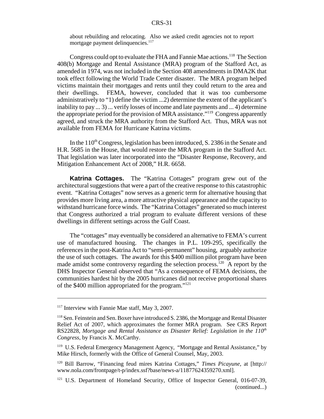about rebuilding and relocating. Also we asked credit agencies not to report mortgage payment delinquencies.<sup>117</sup>

Congress could opt to evaluate the FHA and Fannie Mae actions.<sup>118</sup> The Section 408(b) Mortgage and Rental Assistance (MRA) program of the Stafford Act, as amended in 1974, was not included in the Section 408 amendments in DMA2K that took effect following the World Trade Center disaster. The MRA program helped victims maintain their mortgages and rents until they could return to the area and their dwellings. FEMA, however, concluded that it was too cumbersome administratively to "1) define the victim ...2) determine the extent of the applicant's inability to pay ... 3) ... verify losses of income and late payments and ... 4) determine the appropriate period for the provision of MRA assistance."119 Congress apparently agreed, and struck the MRA authority from the Stafford Act. Thus, MRA was not available from FEMA for Hurricane Katrina victims.

In the  $110<sup>th</sup>$  Congress, legislation has been introduced, S. 2386 in the Senate and H.R. 5685 in the House, that would restore the MRA program in the Stafford Act. That legislation was later incorporated into the "Disaster Response, Recovery, and Mitigation Enhancement Act of 2008," H.R. 6658.

**Katrina Cottages.** The "Katrina Cottages" program grew out of the architectural suggestions that were a part of the creative response to this catastrophic event. "Katrina Cottages" now serves as a generic term for alternative housing that provides more living area, a more attractive physical appearance and the capacity to withstand hurricane force winds. The "Katrina Cottages" generated so much interest that Congress authorized a trial program to evaluate different versions of these dwellings in different settings across the Gulf Coast.

The "cottages" may eventually be considered an alternative to FEMA's current use of manufactured housing. The changes in P.L. 109-295, specifically the references in the post-Katrina Act to "semi-permanent" housing, arguably authorize the use of such cottages. The awards for this \$400 million pilot program have been made amidst some controversy regarding the selection process.<sup>120</sup> A report by the DHS Inspector General observed that "As a consequence of FEMA decisions, the communities hardest hit by the 2005 hurricanes did not receive proportional shares of the \$400 million appropriated for the program."121

<sup>&</sup>lt;sup>117</sup> Interview with Fannie Mae staff, May 3, 2007.

<sup>&</sup>lt;sup>118</sup> Sen. Feinstein and Sen. Boxer have introduced S. 2386, the Mortgage and Rental Disaster Relief Act of 2007, which approximates the former MRA program. See CRS Report RS22828, Mortgage and Rental Assistance as Disaster Relief: Legislation in the  $110^{th}$ *Congress*, by Francis X. McCarthy.

<sup>&</sup>lt;sup>119</sup> U.S. Federal Emergency Management Agency, "Mortgage and Rental Assistance," by Mike Hirsch, formerly with the Office of General Counsel, May, 2003.

<sup>120</sup> Bill Barrow, "Financing feud mires Katrina Cottages," *Times Picayune*, at [http:// www.nola.com/frontpage/t-p/index.ssf?base/news-a/11877624359270.xml].

<sup>&</sup>lt;sup>121</sup> U.S. Department of Homeland Security, Office of Inspector General, 016-07-39, (continued...)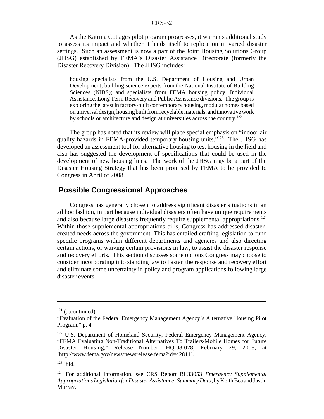As the Katrina Cottages pilot program progresses, it warrants additional study to assess its impact and whether it lends itself to replication in varied disaster settings. Such an assessment is now a part of the Joint Housing Solutions Group (JHSG) established by FEMA's Disaster Assistance Directorate (formerly the Disaster Recovery Division). The JHSG includes:

housing specialists from the U.S. Department of Housing and Urban Development; building science experts from the National Institute of Building Sciences (NIBS); and specialists from FEMA housing policy, Individual Assistance, Long Term Recovery and Public Assistance divisions. The group is exploring the latest in factory-built contemporary housing, modular homes based on universal design, housing built from recyclable materials, and innovative work by schools or architecture and design at universities across the country.122

The group has noted that its review will place special emphasis on "indoor air quality hazards in FEMA-provided temporary housing units."<sup>123</sup> The JHSG has developed an assessment tool for alternative housing to test housing in the field and also has suggested the development of specifications that could be used in the development of new housing lines. The work of the JHSG may be a part of the Disaster Housing Strategy that has been promised by FEMA to be provided to Congress in April of 2008.

#### **Possible Congressional Approaches**

Congress has generally chosen to address significant disaster situations in an ad hoc fashion, in part because individual disasters often have unique requirements and also because large disasters frequently require supplemental appropriations.<sup>124</sup> Within those supplemental appropriations bills, Congress has addressed disastercreated needs across the government. This has entailed crafting legislation to fund specific programs within different departments and agencies and also directing certain actions, or waiving certain provisions in law, to assist the disaster response and recovery efforts. This section discusses some options Congress may choose to consider incorporating into standing law to hasten the response and recovery effort and eliminate some uncertainty in policy and program applications following large disaster events.

 $121$  (...continued)

<sup>&</sup>quot;Evaluation of the Federal Emergency Management Agency's Alternative Housing Pilot Program," p. 4.

<sup>&</sup>lt;sup>122</sup> U.S. Department of Homeland Security, Federal Emergency Management Agency, "FEMA Evaluating Non-Traditional Alternatives To Trailers/Mobile Homes for Future Disaster Housing," Release Number: HQ-08-028, February 29, 2008, at [http://www.fema.gov/news/newsrelease.fema?id=42811].

 $123$  Ibid.

<sup>124</sup> For additional information, see CRS Report RL33053 *Emergency Supplemental Appropriations Legislation for Disaster Assistance: Summary Data,* by Keith Bea and Justin Murray.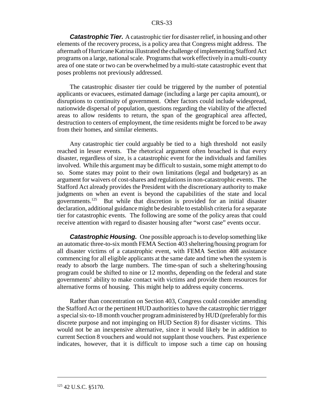*Catastrophic Tier.* A catastrophic tier for disaster relief, in housing and other elements of the recovery process, is a policy area that Congress might address. The aftermath of Hurricane Katrina illustrated the challenge of implementing Stafford Act programs on a large, national scale. Programs that work effectively in a multi-county area of one state or two can be overwhelmed by a multi-state catastrophic event that poses problems not previously addressed.

The catastrophic disaster tier could be triggered by the number of potential applicants or evacuees, estimated damage (including a large per capita amount), or disruptions to continuity of government. Other factors could include widespread, nationwide dispersal of population, questions regarding the viability of the affected areas to allow residents to return, the span of the geographical area affected, destruction to centers of employment, the time residents might be forced to be away from their homes, and similar elements.

Any catastrophic tier could arguably be tied to a high threshold not easily reached in lesser events. The rhetorical argument often broached is that every disaster, regardless of size, is a catastrophic event for the individuals and families involved. While this argument may be difficult to sustain, some might attempt to do so. Some states may point to their own limitations (legal and budgetary) as an argument for waivers of cost-shares and regulations in non-catastrophic events. The Stafford Act already provides the President with the discretionary authority to make judgments on when an event is beyond the capabilities of the state and local governments.125 But while that discretion is provided for an initial disaster declaration, additional guidance might be desirable to establish criteria for a separate tier for catastrophic events. The following are some of the policy areas that could receive attention with regard to disaster housing after "worst case" events occur.

*Catastrophic Housing.* One possible approach is to develop something like an automatic three-to-six month FEMA Section 403 sheltering/housing program for all disaster victims of a catastrophic event, with FEMA Section 408 assistance commencing for all eligible applicants at the same date and time when the system is ready to absorb the large numbers. The time-span of such a sheltering/housing program could be shifted to nine or 12 months, depending on the federal and state governments' ability to make contact with victims and provide them resources for alternative forms of housing. This might help to address equity concerns.

Rather than concentration on Section 403, Congress could consider amending the Stafford Act or the pertinent HUD authorities to have the catastrophic tier trigger a special six-to-18 month voucher program administered by HUD (preferably for this discrete purpose and not impinging on HUD Section 8) for disaster victims. This would not be an inexpensive alternative, since it would likely be in addition to current Section 8 vouchers and would not supplant those vouchers. Past experience indicates, however, that it is difficult to impose such a time cap on housing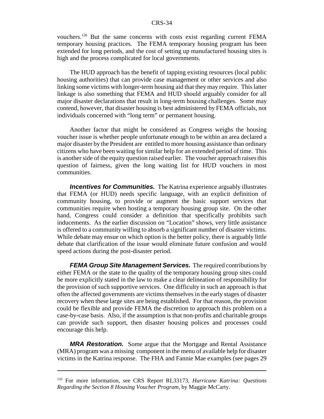vouchers.126 But the same concerns with costs exist regarding current FEMA temporary housing practices. The FEMA temporary housing program has been extended for long periods, and the cost of setting up manufactured housing sites is high and the process complicated for local governments.

The HUD approach has the benefit of tapping existing resources (local public housing authorities) that can provide case management or other services and also linking some victims with longer-term housing aid that they may require. This latter linkage is also something that FEMA and HUD should arguably consider for all major disaster declarations that result in long-term housing challenges. Some may contend, however, that disaster housing is best administered by FEMA officials, not individuals concerned with "long term" or permanent housing.

Another factor that might be considered as Congress weighs the housing voucher issue is whether people unfortunate enough to be within an area declared a major disaster by the President are entitled to more housing assistance than ordinary citizens who have been waiting for similar help for an extended period of time. This is another side of the equity question raised earlier. The voucher approach raises this question of fairness, given the long waiting list for HUD vouchers in most communities.

**Incentives for Communities.** The Katrina experience arguably illustrates that FEMA (or HUD) needs specific language, with an explicit definition of community housing, to provide or augment the basic support services that communities require when hosting a temporary housing group site. On the other hand, Congress could consider a definition that specifically prohibits such inducements. As the earlier discussion on "Location" shows, very little assistance is offered to a community willing to absorb a significant number of disaster victims. While debate may ensue on which option is the better policy, there is arguably little debate that clarification of the issue would eliminate future confusion and would speed actions during the post-disaster period.

*FEMA Group Site Management Services.* The required contributions by either FEMA or the state to the quality of the temporary housing group sites could be more explicitly stated in the law to make a clear delineation of responsibility for the provision of such supportive services. One difficulty in such an approach is that often the affected governments are victims themselves in the early stages of disaster recovery when these large sites are being established. For that reason, the provision could be flexible and provide FEMA the discretion to approach this problem on a case-by-case basis. Also, if the assumption is that non-profits and charitable groups can provide such support, then disaster housing polices and processes could encourage this help.

*MRA Restoration.* Some argue that the Mortgage and Rental Assistance (MRA) program was a missing component in the menu of available help for disaster victims in the Katrina response. The FHA and Fannie Mae examples (see pages 29

<sup>126</sup> For more information, see CRS Report RL33173, *Hurricane Katrina: Questions Regarding the Section 8 Housing Voucher Program,* by Maggie McCarty.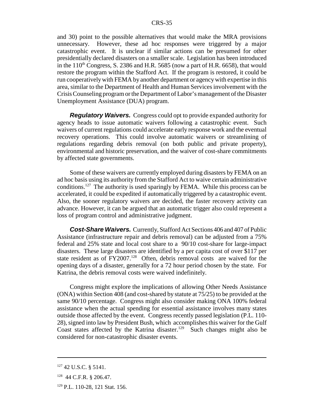and 30) point to the possible alternatives that would make the MRA provisions unnecessary. However, these ad hoc responses were triggered by a major catastrophic event. It is unclear if similar actions can be presumed for other presidentially declared disasters on a smaller scale. Legislation has been introduced in the  $110^{th}$  Congress, S. 2386 and H.R. 5685 (now a part of H.R. 6658), that would restore the program within the Stafford Act. If the program is restored, it could be run cooperatively with FEMA by another department or agency with expertise in this area, similar to the Department of Health and Human Services involvement with the Crisis Counseling program or the Department of Labor's management of the Disaster Unemployment Assistance (DUA) program.

*Regulatory Waivers.* Congress could opt to provide expanded authority for agency heads to issue automatic waivers following a catastrophic event. Such waivers of current regulations could accelerate early response work and the eventual recovery operations. This could involve automatic waivers or streamlining of regulations regarding debris removal (on both public and private property), environmental and historic preservation, and the waiver of cost-share commitments by affected state governments.

Some of these waivers are currently employed during disasters by FEMA on an ad hoc basis using its authority from the Stafford Act to waive certain administrative conditions.<sup>127</sup> The authority is used sparingly by FEMA. While this process can be accelerated, it could be expedited if automatically triggered by a catastrophic event. Also, the sooner regulatory waivers are decided, the faster recovery activity can advance. However, it can be argued that an automatic trigger also could represent a loss of program control and administrative judgment.

*Cost-Share Waivers.* Currently, Stafford Act Sections 406 and 407 of Public Assistance (infrastructure repair and debris removal) can be adjusted from a 75% federal and 25% state and local cost share to a 90/10 cost-share for large-impact disasters. These large disasters are identified by a per capita cost of over \$117 per state resident as of FY2007.<sup>128</sup> Often, debris removal costs are waived for the opening days of a disaster, generally for a 72 hour period chosen by the state. For Katrina, the debris removal costs were waived indefinitely.

Congress might explore the implications of allowing Other Needs Assistance (ONA) within Section 408 (and cost-shared by statute at 75/25) to be provided at the same 90/10 percentage. Congress might also consider making ONA 100% federal assistance when the actual spending for essential assistance involves many states outside those affected by the event. Congress recently passed legislation (P.L. 110- 28), signed into law by President Bush, which accomplishes this waiver for the Gulf Coast states affected by the Katrina disaster.<sup>129</sup> Such changes might also be considered for non-catastrophic disaster events.

<sup>127 42</sup> U.S.C. § 5141.

<sup>128 44</sup> C.F.R. § 206.47.

<sup>129</sup> P.L. 110-28, 121 Stat. 156.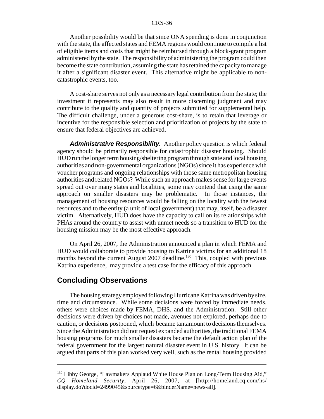Another possibility would be that since ONA spending is done in conjunction with the state, the affected states and FEMA regions would continue to compile a list of eligible items and costs that might be reimbursed through a block-grant program administered by the state. The responsibility of administering the program could then become the state contribution, assuming the state has retained the capacity to manage it after a significant disaster event. This alternative might be applicable to noncatastrophic events, too.

A cost-share serves not only as a necessary legal contribution from the state; the investment it represents may also result in more discerning judgment and may contribute to the quality and quantity of projects submitted for supplemental help. The difficult challenge, under a generous cost-share, is to retain that leverage or incentive for the responsible selection and prioritization of projects by the state to ensure that federal objectives are achieved.

*Administrative Responsibility.* Another policy question is which federal agency should be primarily responsible for catastrophic disaster housing. Should HUD run the longer term housing/sheltering program through state and local housing authorities and non-governmental organizations (NGOs) since it has experience with voucher programs and ongoing relationships with those same metropolitan housing authorities and related NGOs? While such an approach makes sense for large events spread out over many states and localities, some may contend that using the same approach on smaller disasters may be problematic. In those instances, the management of housing resources would be falling on the locality with the fewest resources and to the entity (a unit of local government) that may, itself, be a disaster victim. Alternatively, HUD does have the capacity to call on its relationships with PHAs around the country to assist with unmet needs so a transition to HUD for the housing mission may be the most effective approach.

On April 26, 2007, the Administration announced a plan in which FEMA and HUD would collaborate to provide housing to Katrina victims for an additional 18 months beyond the current August 2007 deadline.<sup>130</sup> This, coupled with previous Katrina experience, may provide a test case for the efficacy of this approach.

#### **Concluding Observations**

The housing strategy employed following Hurricane Katrina was driven by size, time and circumstance. While some decisions were forced by immediate needs, others were choices made by FEMA, DHS, and the Administration. Still other decisions were driven by choices not made, avenues not explored, perhaps due to caution, or decisions postponed, which became tantamount to decisions themselves. Since the Administration did not request expanded authorities, the traditional FEMA housing programs for much smaller disasters became the default action plan of the federal government for the largest natural disaster event in U.S. history. It can be argued that parts of this plan worked very well, such as the rental housing provided

<sup>&</sup>lt;sup>130</sup> Libby George, "Lawmakers Applaud White House Plan on Long-Term Housing Aid," *CQ Homeland Security,* April 26, 2007, at [http://homeland.cq.com/hs/ display.do?docid=2499045&sourcetype=6&binderName=news-all].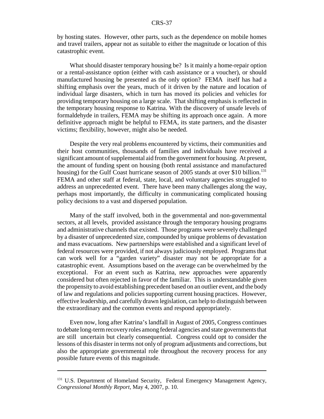by hosting states. However, other parts, such as the dependence on mobile homes and travel trailers, appear not as suitable to either the magnitude or location of this catastrophic event.

What should disaster temporary housing be? Is it mainly a home-repair option or a rental-assistance option (either with cash assistance or a voucher), or should manufactured housing be presented as the only option? FEMA itself has had a shifting emphasis over the years, much of it driven by the nature and location of individual large disasters, which in turn has moved its policies and vehicles for providing temporary housing on a large scale. That shifting emphasis is reflected in the temporary housing response to Katrina. With the discovery of unsafe levels of formaldehyde in trailers, FEMA may be shifting its approach once again. A more definitive approach might be helpful to FEMA, its state partners, and the disaster victims; flexibility, however, might also be needed.

Despite the very real problems encountered by victims, their communities and their host communities, thousands of families and individuals have received a significant amount of supplemental aid from the government for housing. At present, the amount of funding spent on housing (both rental assistance and manufactured housing) for the Gulf Coast hurricane season of 2005 stands at over \$10 billion.<sup>131</sup> FEMA and other staff at federal, state, local, and voluntary agencies struggled to address an unprecedented event. There have been many challenges along the way, perhaps most importantly, the difficulty in communicating complicated housing policy decisions to a vast and dispersed population.

Many of the staff involved, both in the governmental and non-governmental sectors, at all levels, provided assistance through the temporary housing programs and administrative channels that existed. Those programs were severely challenged by a disaster of unprecedented size, compounded by unique problems of devastation and mass evacuations. New partnerships were established and a significant level of federal resources were provided, if not always judiciously employed. Programs that can work well for a "garden variety" disaster may not be appropriate for a catastrophic event. Assumptions based on the average can be overwhelmed by the exceptional. For an event such as Katrina, new approaches were apparently considered but often rejected in favor of the familiar. This is understandable given the propensity to avoid establishing precedent based on an outlier event, and the body of law and regulations and policies supporting current housing practices. However, effective leadership, and carefully drawn legislation, can help to distinguish between the extraordinary and the common events and respond appropriately.

Even now, long after Katrina's landfall in August of 2005, Congress continues to debate long-term recovery roles among federal agencies and state governments that are still uncertain but clearly consequential. Congress could opt to consider the lessons of this disaster in terms not only of program adjustments and corrections, but also the appropriate governmental role throughout the recovery process for any possible future events of this magnitude.

<sup>&</sup>lt;sup>131</sup> U.S. Department of Homeland Security, Federal Emergency Management Agency, *Congressional Monthly Report,* May 4, 2007, p. 10.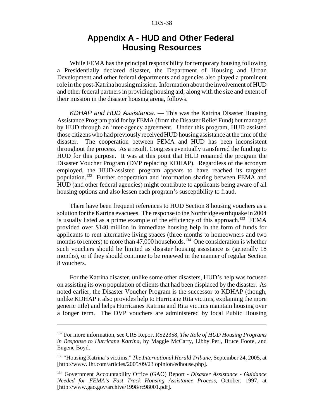### **Appendix A - HUD and Other Federal Housing Resources**

While FEMA has the principal responsibility for temporary housing following a Presidentially declared disaster, the Department of Housing and Urban Development and other federal departments and agencies also played a prominent role in the post-Katrina housing mission. Information about the involvement of HUD and other federal partners in providing housing aid; along with the size and extent of their mission in the disaster housing arena, follows.

*KDHAP and HUD Assistance.* — This was the Katrina Disaster Housing Assistance Program paid for by FEMA (from the Disaster Relief Fund) but managed by HUD through an inter-agency agreement. Under this program, HUD assisted those citizens who had previously received HUD housing assistance at the time of the disaster. The cooperation between FEMA and HUD has been inconsistent throughout the process. As a result, Congress eventually transferred the funding to HUD for this purpose. It was at this point that HUD renamed the program the Disaster Voucher Program (DVP replacing KDHAP). Regardless of the acronym employed, the HUD-assisted program appears to have reached its targeted population.132 Further cooperation and information sharing between FEMA and HUD (and other federal agencies) might contribute to applicants being aware of all housing options and also lessen each program's susceptibility to fraud.

There have been frequent references to HUD Section 8 housing vouchers as a solution for the Katrina evacuees. The response to the Northridge earthquake in 2004 is usually listed as a prime example of the efficiency of this approach.<sup>133</sup> FEMA provided over \$140 million in immediate housing help in the form of funds for applicants to rent alternative living spaces (three months to homeowners and two months to renters) to more than  $47,000$  households.<sup>134</sup> One consideration is whether such vouchers should be limited as disaster housing assistance is (generally 18 months), or if they should continue to be renewed in the manner of regular Section 8 vouchers.

For the Katrina disaster, unlike some other disasters, HUD's help was focused on assisting its own population of clients that had been displaced by the disaster. As noted earlier, the Disaster Voucher Program is the successor to KDHAP (though, unlike KDHAP it also provides help to Hurricane Rita victims, explaining the more generic title) and helps Hurricanes Katrina and Rita victims maintain housing over a longer term. The DVP vouchers are administered by local Public Housing

<sup>132</sup> For more information, see CRS Report RS22358, *The Role of HUD Housing Programs in Response to Hurricane Katrina,* by Maggie McCarty, Libby Perl, Bruce Foote, and Eugene Boyd.

<sup>133 &</sup>quot;Housing Katrina's victims," *The International Herald Tribune,* September 24, 2005, at [http://www. Iht.com/articles/2005/09/23 opinion/edhouse.php].

<sup>134</sup> Government Accountability Office (GAO) Report - *Disaster Assistance - Guidance Needed for FEMA's Fast Track Housing Assistance Process,* October, 1997, at [http://www.gao.gov/archive/1998/rc98001.pdf].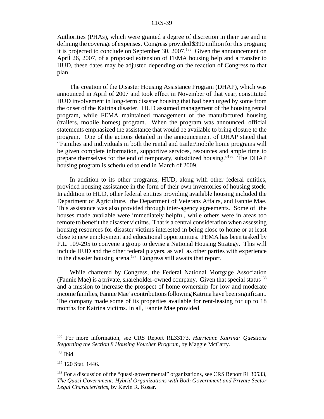Authorities (PHAs), which were granted a degree of discretion in their use and in defining the coverage of expenses. Congress provided \$390 million for this program; it is projected to conclude on September 30,  $2007$ .<sup>135</sup> Given the announcement on April 26, 2007, of a proposed extension of FEMA housing help and a transfer to HUD, these dates may be adjusted depending on the reaction of Congress to that plan.

The creation of the Disaster Housing Assistance Program (DHAP), which was announced in April of 2007 and took effect in November of that year, constituted HUD involvement in long-term disaster housing that had been urged by some from the onset of the Katrina disaster. HUD assumed management of the housing rental program, while FEMA maintained management of the manufactured housing (trailers, mobile homes) program. When the program was announced, official statements emphasized the assistance that would be available to bring closure to the program. One of the actions detailed in the announcement of DHAP stated that "Families and individuals in both the rental and trailer/mobile home programs will be given complete information, supportive services, resources and ample time to prepare themselves for the end of temporary, subsidized housing."136 The DHAP housing program is scheduled to end in March of 2009.

In addition to its other programs, HUD, along with other federal entities, provided housing assistance in the form of their own inventories of housing stock. In addition to HUD, other federal entities providing available housing included the Department of Agriculture, the Department of Veterans Affairs, and Fannie Mae. This assistance was also provided through inter-agency agreements. Some of the houses made available were immediately helpful, while others were in areas too remote to benefit the disaster victims. That is a central consideration when assessing housing resources for disaster victims interested in being close to home or at least close to new employment and educational opportunities. FEMA has been tasked by P.L. 109-295 to convene a group to devise a National Housing Strategy. This will include HUD and the other federal players, as well as other parties with experience in the disaster housing arena.<sup>137</sup> Congress still awaits that report.

While chartered by Congress, the Federal National Mortgage Association (Fannie Mae) is a private, shareholder-owned company. Given that special status<sup>138</sup> and a mission to increase the prospect of home ownership for low and moderate income families, Fannie Mae's contributions following Katrina have been significant. The company made some of its properties available for rent-leasing for up to 18 months for Katrina victims. In all, Fannie Mae provided

<sup>135</sup> For more information, see CRS Report RL33173, *Hurricane Katrina: Questions Regarding the Section 8 Housing Voucher Program,* by Maggie McCarty.

 $136$  Ibid.

<sup>&</sup>lt;sup>137</sup> 120 Stat. 1446.

<sup>&</sup>lt;sup>138</sup> For a discussion of the "quasi-governmental" organizations, see CRS Report RL30533, *The Quasi Government: Hybrid Organizations with Both Government and Private Sector Legal Characteristics,* by Kevin R. Kosar.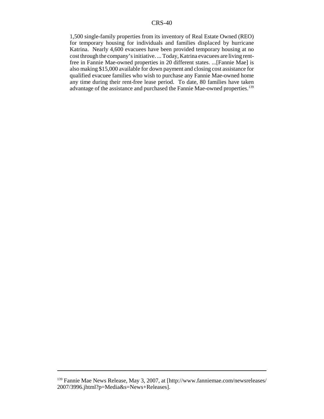1,500 single-family properties from its inventory of Real Estate Owned (REO) for temporary housing for individuals and families displaced by hurricane Katrina. Nearly 4,600 evacuees have been provided temporary housing at no cost through the company's initiative. ... Today, Katrina evacuees are living rentfree in Fannie Mae-owned properties in 20 different states. ...[Fannie Mae] is also making \$15,000 available for down payment and closing cost assistance for qualified evacuee families who wish to purchase any Fannie Mae-owned home any time during their rent-free lease period. To date, 80 families have taken advantage of the assistance and purchased the Fannie Mae-owned properties.<sup>139</sup>

<sup>139</sup> Fannie Mae News Release, May 3, 2007, at [http://www.fanniemae.com/newsreleases/ 2007/3996.jhtml?p=Media&s=News+Releases].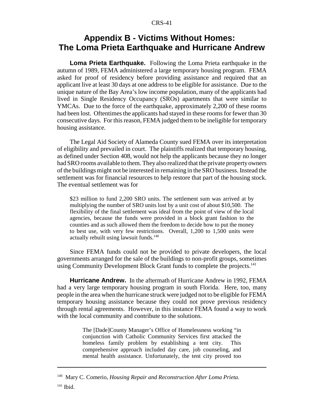## **Appendix B - Victims Without Homes: The Loma Prieta Earthquake and Hurricane Andrew**

**Loma Prieta Earthquake.** Following the Loma Prieta earthquake in the autumn of 1989, FEMA administered a large temporary housing program. FEMA asked for proof of residency before providing assistance and required that an applicant live at least 30 days at one address to be eligible for assistance. Due to the unique nature of the Bay Area's low income population, many of the applicants had lived in Single Residency Occupancy (SROs) apartments that were similar to YMCAs. Due to the force of the earthquake, approximately 2,200 of these rooms had been lost. Oftentimes the applicants had stayed in these rooms for fewer than 30 consecutive days. For this reason, FEMA judged them to be ineligible for temporary housing assistance.

The Legal Aid Society of Alameda County sued FEMA over its interpretation of eligibility and prevailed in court. The plaintiffs realized that temporary housing, as defined under Section 408, would not help the applicants because they no longer had SRO rooms available to them. They also realized that the private property owners of the buildings might not be interested in remaining in the SRO business. Instead the settlement was for financial resources to help restore that part of the housing stock. The eventual settlement was for

\$23 million to fund 2,200 SRO units. The settlement sum was arrived at by multiplying the number of SRO units lost by a unit cost of about \$10,500. The flexibility of the final settlement was ideal from the point of view of the local agencies, because the funds were provided in a block grant fashion to the counties and as such allowed them the freedom to decide how to put the money to best use, with very few restrictions. Overall, 1,200 to 1,500 units were actually rebuilt using lawsuit funds. $140$ 

Since FEMA funds could not be provided to private developers, the local governments arranged for the sale of the buildings to non-profit groups, sometimes using Community Development Block Grant funds to complete the projects.<sup>141</sup>

**Hurricane Andrew.** In the aftermath of Hurricane Andrew in 1992, FEMA had a very large temporary housing program in south Florida. Here, too, many people in the area when the hurricane struck were judged not to be eligible for FEMA temporary housing assistance because they could not prove previous residency through rental agreements. However, in this instance FEMA found a way to work with the local community and contribute to the solutions.

> The [Dade]County Manager's Office of Homelessness working "in conjunction with Catholic Community Services first attacked the homeless family problem by establishing a tent city. This comprehensive approach included day care, job counseling, and mental health assistance. Unfortunately, the tent city proved too

<sup>140</sup> Mary C. Comerio, *Housing Repair and Reconstruction After Loma Prieta*.

<sup>141</sup> Ibid.